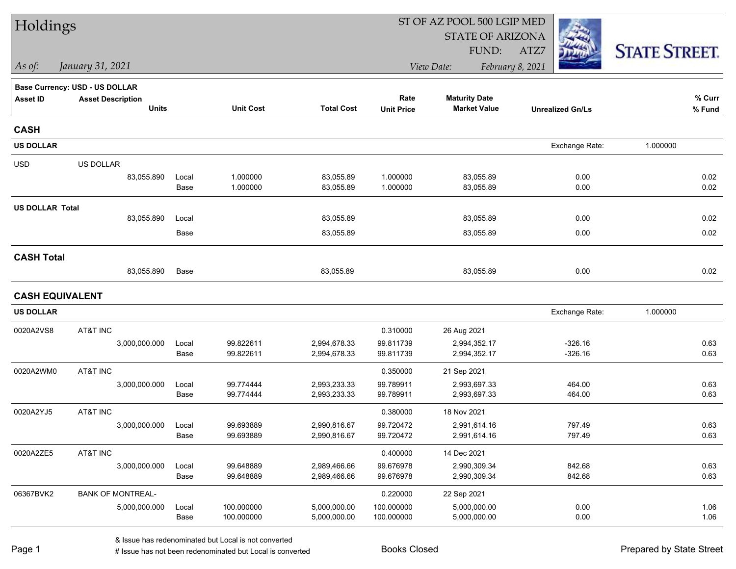| Holdings               |                                       |               |                          |                              | ST OF AZ POOL 500 LGIP MED |                              |                         |                      |  |
|------------------------|---------------------------------------|---------------|--------------------------|------------------------------|----------------------------|------------------------------|-------------------------|----------------------|--|
|                        |                                       |               |                          |                              |                            | <b>STATE OF ARIZONA</b>      |                         |                      |  |
|                        |                                       |               |                          |                              |                            | FUND:                        | ATZ7                    | <b>STATE STREET.</b> |  |
| As of:                 | January 31, 2021                      |               |                          |                              |                            | View Date:                   | February 8, 2021        |                      |  |
|                        | <b>Base Currency: USD - US DOLLAR</b> |               |                          |                              |                            |                              |                         |                      |  |
| <b>Asset ID</b>        | <b>Asset Description</b>              |               |                          |                              | Rate                       | <b>Maturity Date</b>         |                         | % Curr               |  |
|                        | <b>Units</b>                          |               | <b>Unit Cost</b>         | <b>Total Cost</b>            | <b>Unit Price</b>          | <b>Market Value</b>          | <b>Unrealized Gn/Ls</b> | % Fund               |  |
| <b>CASH</b>            |                                       |               |                          |                              |                            |                              |                         |                      |  |
| <b>US DOLLAR</b>       |                                       |               |                          |                              |                            |                              | Exchange Rate:          | 1.000000             |  |
| <b>USD</b>             | US DOLLAR                             |               |                          |                              |                            |                              |                         |                      |  |
|                        | 83,055.890                            | Local         | 1.000000                 | 83,055.89                    | 1.000000                   | 83,055.89                    | 0.00                    | 0.02                 |  |
|                        |                                       | Base          | 1.000000                 | 83,055.89                    | 1.000000                   | 83,055.89                    | 0.00                    | 0.02                 |  |
| <b>US DOLLAR Total</b> |                                       |               |                          |                              |                            |                              |                         |                      |  |
|                        | 83,055.890                            | Local         |                          | 83,055.89                    |                            | 83,055.89                    | 0.00                    | 0.02                 |  |
|                        |                                       | Base          |                          | 83,055.89                    |                            | 83,055.89                    | 0.00                    | 0.02                 |  |
| <b>CASH Total</b>      |                                       |               |                          |                              |                            |                              |                         |                      |  |
|                        | 83,055.890                            | Base          |                          | 83,055.89                    |                            | 83,055.89                    | 0.00                    | 0.02                 |  |
| <b>CASH EQUIVALENT</b> |                                       |               |                          |                              |                            |                              |                         |                      |  |
| <b>US DOLLAR</b>       |                                       |               |                          |                              |                            |                              | Exchange Rate:          | 1.000000             |  |
| 0020A2VS8              | AT&T INC                              |               |                          |                              | 0.310000                   | 26 Aug 2021                  |                         |                      |  |
|                        | 3,000,000.000                         | Local         | 99.822611                | 2,994,678.33                 | 99.811739                  | 2,994,352.17                 | $-326.16$               | 0.63                 |  |
|                        |                                       | Base          | 99.822611                | 2,994,678.33                 | 99.811739                  | 2,994,352.17                 | $-326.16$               | 0.63                 |  |
| 0020A2WM0              | AT&T INC                              |               |                          |                              | 0.350000                   | 21 Sep 2021                  |                         |                      |  |
|                        | 3,000,000.000                         | Local         | 99.774444                | 2,993,233.33                 | 99.789911                  | 2,993,697.33                 | 464.00                  | 0.63                 |  |
|                        |                                       | Base          | 99.774444                | 2,993,233.33                 | 99.789911                  | 2,993,697.33                 | 464.00                  | 0.63                 |  |
| 0020A2YJ5              | AT&T INC                              |               |                          |                              | 0.380000                   | 18 Nov 2021                  |                         |                      |  |
|                        | 3,000,000.000                         | Local         | 99.693889                | 2,990,816.67                 | 99.720472                  | 2,991,614.16                 | 797.49                  | 0.63                 |  |
|                        |                                       | Base          | 99.693889                | 2,990,816.67                 | 99.720472                  | 2,991,614.16                 | 797.49                  | 0.63                 |  |
| 0020A2ZE5              | AT&T INC                              |               |                          |                              | 0.400000                   | 14 Dec 2021                  |                         |                      |  |
|                        | 3,000,000.000                         | Local         | 99.648889                | 2,989,466.66                 | 99.676978                  | 2,990,309.34                 | 842.68                  | 0.63                 |  |
|                        |                                       | Base          | 99.648889                | 2,989,466.66                 | 99.676978                  | 2,990,309.34                 | 842.68                  | 0.63                 |  |
| 06367BVK2              | <b>BANK OF MONTREAL-</b>              |               |                          |                              | 0.220000                   | 22 Sep 2021                  |                         |                      |  |
|                        | 5,000,000.000                         | Local<br>Base | 100.000000<br>100.000000 | 5,000,000.00<br>5,000,000.00 | 100.000000<br>100.000000   | 5,000,000.00<br>5,000,000.00 | 0.00<br>0.00            | 1.06<br>1.06         |  |
|                        |                                       |               |                          |                              |                            |                              |                         |                      |  |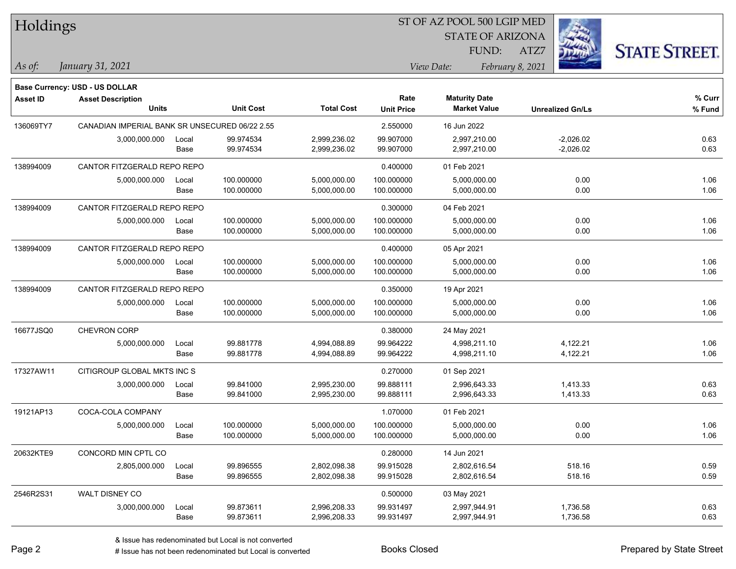| Holdings        |                                                |       |                  |                   |                   | ST OF AZ POOL 500 LGIP MED |                         |                      |
|-----------------|------------------------------------------------|-------|------------------|-------------------|-------------------|----------------------------|-------------------------|----------------------|
|                 |                                                |       |                  |                   |                   | <b>STATE OF ARIZONA</b>    |                         |                      |
|                 |                                                |       |                  |                   |                   | FUND:                      | ATZ7                    | <b>STATE STREET.</b> |
| As of:          | January 31, 2021                               |       |                  |                   |                   | View Date:                 | February 8, 2021        |                      |
|                 | <b>Base Currency: USD - US DOLLAR</b>          |       |                  |                   |                   |                            |                         |                      |
| <b>Asset ID</b> | <b>Asset Description</b>                       |       |                  |                   | Rate              | <b>Maturity Date</b>       |                         | $%$ Curr             |
|                 | Units                                          |       | <b>Unit Cost</b> | <b>Total Cost</b> | <b>Unit Price</b> | <b>Market Value</b>        | <b>Unrealized Gn/Ls</b> | % Fund               |
| 136069TY7       | CANADIAN IMPERIAL BANK SR UNSECURED 06/22 2.55 |       |                  |                   | 2.550000          | 16 Jun 2022                |                         |                      |
|                 | 3,000,000.000                                  | Local | 99.974534        | 2,999,236.02      | 99.907000         | 2,997,210.00               | $-2,026.02$             | 0.63                 |
|                 |                                                | Base  | 99.974534        | 2,999,236.02      | 99.907000         | 2,997,210.00               | $-2,026.02$             | 0.63                 |
| 138994009       | CANTOR FITZGERALD REPO REPO                    |       |                  |                   | 0.400000          | 01 Feb 2021                |                         |                      |
|                 | 5,000,000.000                                  | Local | 100.000000       | 5,000,000.00      | 100.000000        | 5,000,000.00               | 0.00                    | 1.06                 |
|                 |                                                | Base  | 100.000000       | 5,000,000.00      | 100.000000        | 5,000,000.00               | 0.00                    | 1.06                 |
| 138994009       | CANTOR FITZGERALD REPO REPO                    |       |                  |                   | 0.300000          | 04 Feb 2021                |                         |                      |
|                 | 5,000,000.000                                  | Local | 100.000000       | 5,000,000.00      | 100.000000        | 5,000,000.00               | 0.00                    | 1.06                 |
|                 |                                                | Base  | 100.000000       | 5,000,000.00      | 100.000000        | 5,000,000.00               | 0.00                    | 1.06                 |
| 138994009       | CANTOR FITZGERALD REPO REPO                    |       |                  |                   | 0.400000          | 05 Apr 2021                |                         |                      |
|                 | 5,000,000.000                                  | Local | 100.000000       | 5,000,000.00      | 100.000000        | 5,000,000.00               | 0.00                    | 1.06                 |
|                 |                                                | Base  | 100.000000       | 5,000,000.00      | 100.000000        | 5,000,000.00               | 0.00                    | 1.06                 |
| 138994009       | CANTOR FITZGERALD REPO REPO                    |       |                  |                   | 0.350000          | 19 Apr 2021                |                         |                      |
|                 | 5,000,000.000                                  | Local | 100.000000       | 5,000,000.00      | 100.000000        | 5,000,000.00               | 0.00                    | 1.06                 |
|                 |                                                | Base  | 100.000000       | 5,000,000.00      | 100.000000        | 5,000,000.00               | 0.00                    | 1.06                 |
| 16677JSQ0       | CHEVRON CORP                                   |       |                  |                   | 0.380000          | 24 May 2021                |                         |                      |
|                 | 5,000,000.000                                  | Local | 99.881778        | 4,994,088.89      | 99.964222         | 4,998,211.10               | 4,122.21                | 1.06                 |
|                 |                                                | Base  | 99.881778        | 4,994,088.89      | 99.964222         | 4,998,211.10               | 4,122.21                | 1.06                 |
| 17327AW11       | CITIGROUP GLOBAL MKTS INC S                    |       |                  |                   | 0.270000          | 01 Sep 2021                |                         |                      |
|                 | 3,000,000.000                                  | Local | 99.841000        | 2,995,230.00      | 99.888111         | 2,996,643.33               | 1,413.33                | 0.63                 |
|                 |                                                | Base  | 99.841000        | 2,995,230.00      | 99.888111         | 2,996,643.33               | 1,413.33                | 0.63                 |
| 19121AP13       | COCA-COLA COMPANY                              |       |                  |                   | 1.070000          | 01 Feb 2021                |                         |                      |
|                 | 5,000,000.000                                  | Local | 100.000000       | 5,000,000.00      | 100.000000        | 5,000,000.00               | 0.00                    | 1.06                 |
|                 |                                                | Base  | 100.000000       | 5,000,000.00      | 100.000000        | 5,000,000.00               | 0.00                    | 1.06                 |
| 20632KTE9       | CONCORD MIN CPTL CO                            |       |                  |                   | 0.280000          | 14 Jun 2021                |                         |                      |
|                 | 2,805,000.000                                  | Local | 99.896555        | 2,802,098.38      | 99.915028         | 2,802,616.54               | 518.16                  | 0.59                 |
|                 |                                                | Base  | 99.896555        | 2,802,098.38      | 99.915028         | 2,802,616.54               | 518.16                  | 0.59                 |
| 2546R2S31       | WALT DISNEY CO                                 |       |                  |                   | 0.500000          | 03 May 2021                |                         |                      |
|                 | 3,000,000.000                                  | Local | 99.873611        | 2,996,208.33      | 99.931497         | 2,997,944.91               | 1,736.58                | 0.63                 |
|                 |                                                | Base  | 99.873611        | 2,996,208.33      | 99.931497         | 2,997,944.91               | 1,736.58                | 0.63                 |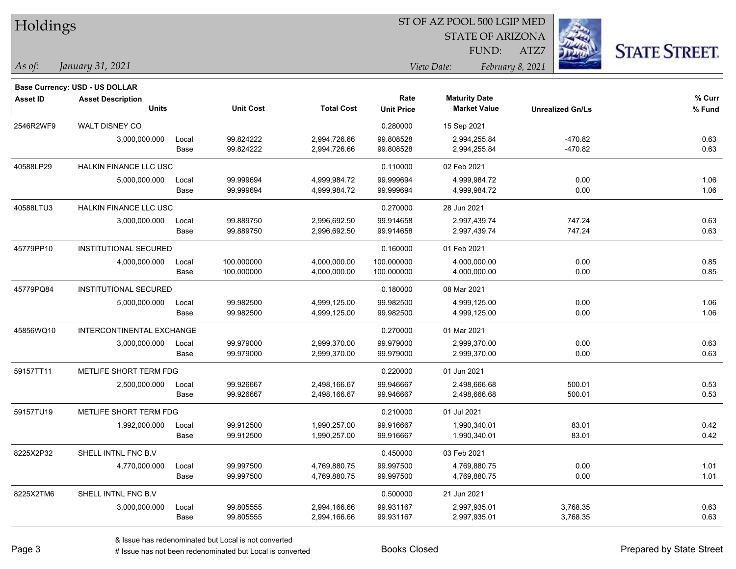| Holdings        |                                          |                           |                        |                              |                           |                                             |                         |                        |                      |
|-----------------|------------------------------------------|---------------------------|------------------------|------------------------------|---------------------------|---------------------------------------------|-------------------------|------------------------|----------------------|
|                 |                                          |                           |                        |                              |                           | <b>STATE OF ARIZONA</b>                     |                         |                        |                      |
|                 |                                          |                           |                        |                              |                           | FUND:                                       | ATZ7                    |                        | <b>STATE STREET.</b> |
| $\vert$ As of:  | January 31, 2021                         |                           |                        |                              |                           | View Date:                                  | February 8, 2021        |                        |                      |
|                 |                                          |                           |                        |                              |                           |                                             |                         |                        |                      |
|                 | <b>Base Currency: USD - US DOLLAR</b>    |                           |                        |                              |                           |                                             |                         |                        |                      |
| <b>Asset ID</b> | <b>Asset Description</b><br><b>Units</b> |                           | <b>Unit Cost</b>       | <b>Total Cost</b>            | Rate<br><b>Unit Price</b> | <b>Maturity Date</b><br><b>Market Value</b> | <b>Unrealized Gn/Ls</b> |                        | $%$ Curr<br>% Fund   |
|                 |                                          |                           |                        |                              |                           |                                             |                         |                        |                      |
| 2546R2WF9       | WALT DISNEY CO                           |                           |                        |                              | 0.280000                  | 15 Sep 2021                                 |                         |                        |                      |
|                 | 3,000,000.000                            | Local<br>Base             | 99.824222<br>99.824222 | 2,994,726.66<br>2,994,726.66 | 99.808528<br>99.808528    | 2,994,255.84<br>2,994,255.84                |                         | $-470.82$<br>$-470.82$ | 0.63<br>0.63         |
|                 |                                          |                           |                        |                              |                           |                                             |                         |                        |                      |
| 40588LP29       | <b>HALKIN FINANCE LLC USC</b>            |                           |                        |                              | 0.110000                  | 02 Feb 2021                                 |                         |                        |                      |
|                 | 5,000,000.000                            | Local<br>Base             | 99.999694<br>99.999694 | 4,999,984.72<br>4,999,984.72 | 99.999694<br>99.999694    | 4,999,984.72<br>4,999,984.72                |                         | 0.00<br>0.00           | 1.06<br>1.06         |
|                 |                                          |                           |                        |                              |                           |                                             |                         |                        |                      |
| 40588LTU3       | <b>HALKIN FINANCE LLC USC</b>            |                           |                        |                              | 0.270000                  | 28 Jun 2021                                 |                         |                        |                      |
|                 | 3,000,000.000                            | Local                     | 99.889750<br>99.889750 | 2,996,692.50                 | 99.914658                 | 2,997,439.74                                |                         | 747.24                 | 0.63                 |
|                 |                                          | Base                      |                        | 2,996,692.50                 | 99.914658                 | 2,997,439.74                                |                         | 747.24                 | 0.63                 |
| 45779PP10       | <b>INSTITUTIONAL SECURED</b>             |                           |                        |                              | 0.160000                  | 01 Feb 2021                                 |                         |                        |                      |
|                 | 4,000,000.000                            | Local                     | 100.000000             | 4,000,000.00                 | 100.000000                | 4,000,000.00                                |                         | 0.00                   | 0.85                 |
|                 |                                          | Base                      | 100.000000             | 4,000,000.00                 | 100.000000                | 4,000,000.00                                |                         | 0.00                   | 0.85                 |
| 45779PQ84       | <b>INSTITUTIONAL SECURED</b>             |                           |                        |                              | 0.180000                  | 08 Mar 2021                                 |                         |                        |                      |
|                 | 5,000,000.000                            | Local                     | 99.982500              | 4,999,125.00                 | 99.982500                 | 4,999,125.00                                |                         | 0.00                   | 1.06                 |
|                 |                                          | Base                      | 99.982500              | 4,999,125.00                 | 99.982500                 | 4,999,125.00                                |                         | 0.00                   | 1.06                 |
| 45856WQ10       |                                          | INTERCONTINENTAL EXCHANGE |                        |                              | 0.270000                  | 01 Mar 2021                                 |                         |                        |                      |
|                 | 3,000,000.000                            | Local                     | 99.979000              | 2,999,370.00                 | 99.979000                 | 2,999,370.00                                |                         | 0.00                   | 0.63                 |
|                 |                                          | Base                      | 99.979000              | 2,999,370.00                 | 99.979000                 | 2,999,370.00                                |                         | 0.00                   | 0.63                 |
| 59157TT11       | METLIFE SHORT TERM FDG                   |                           |                        |                              | 0.220000                  | 01 Jun 2021                                 |                         |                        |                      |
|                 | 2,500,000.000                            | Local                     | 99.926667              | 2,498,166.67                 | 99.946667                 | 2,498,666.68                                |                         | 500.01                 | 0.53                 |
|                 |                                          | Base                      | 99.926667              | 2,498,166.67                 | 99.946667                 | 2,498,666.68                                |                         | 500.01                 | 0.53                 |
| 59157TU19       | METLIFE SHORT TERM FDG                   |                           |                        |                              | 0.210000                  | 01 Jul 2021                                 |                         |                        |                      |
|                 | 1,992,000.000                            | Local                     | 99.912500              | 1,990,257.00                 | 99.916667                 | 1,990,340.01                                |                         | 83.01                  | 0.42                 |
|                 |                                          | Base                      | 99.912500              | 1,990,257.00                 | 99.916667                 | 1,990,340.01                                |                         | 83.01                  | 0.42                 |
| 8225X2P32       | SHELL INTNL FNC B.V                      |                           |                        |                              | 0.450000                  | 03 Feb 2021                                 |                         |                        |                      |
|                 | 4,770,000.000                            | Local                     | 99.997500              | 4,769,880.75                 | 99.997500                 | 4,769,880.75                                |                         | 0.00                   | 1.01                 |
|                 |                                          | Base                      | 99.997500              | 4,769,880.75                 | 99.997500                 | 4,769,880.75                                |                         | 0.00                   | 1.01                 |
| 8225X2TM6       | SHELL INTNL FNC B.V                      |                           |                        |                              | 0.500000                  | 21 Jun 2021                                 |                         |                        |                      |
|                 | 3,000,000.000                            | Local                     | 99.805555              | 2,994,166.66                 | 99.931167                 | 2,997,935.01                                |                         | 3,768.35               | 0.63                 |
|                 |                                          | Base                      | 99.805555              | 2,994,166.66                 | 99.931167                 | 2,997,935.01                                |                         | 3,768.35               | 0.63                 |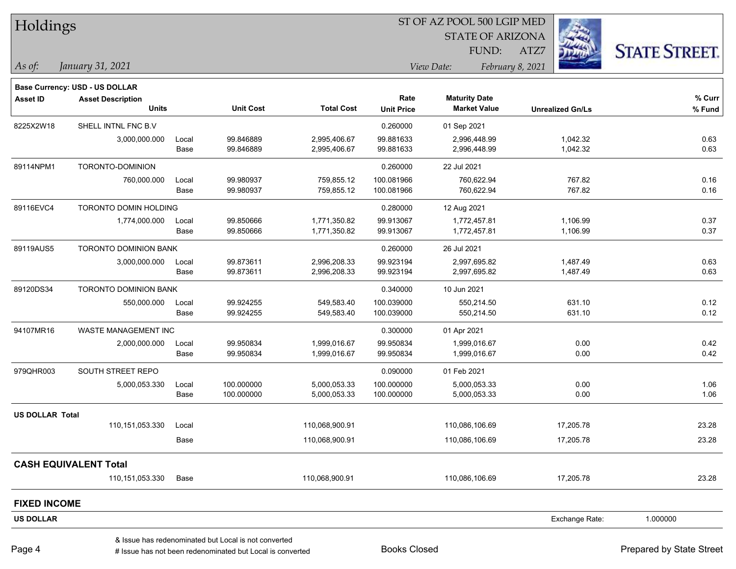| Holdings                                    |       |                                                      |                   | ST OF AZ POOL 500 LGIP MED     |                         |                         |                      |
|---------------------------------------------|-------|------------------------------------------------------|-------------------|--------------------------------|-------------------------|-------------------------|----------------------|
|                                             |       |                                                      |                   |                                | <b>STATE OF ARIZONA</b> |                         |                      |
|                                             |       |                                                      |                   |                                | FUND:                   | ATZ7                    | <b>STATE STREET.</b> |
| $ $ As of:<br>January 31, 2021              |       |                                                      |                   | View Date:<br>February 8, 2021 |                         |                         |                      |
| <b>Base Currency: USD - US DOLLAR</b>       |       |                                                      |                   |                                |                         |                         |                      |
| <b>Asset ID</b><br><b>Asset Description</b> |       |                                                      |                   | Rate                           | <b>Maturity Date</b>    |                         | % Curr               |
| <b>Units</b>                                |       | <b>Unit Cost</b>                                     | <b>Total Cost</b> | <b>Unit Price</b>              | <b>Market Value</b>     | <b>Unrealized Gn/Ls</b> | % Fund               |
| 8225X2W18<br>SHELL INTNL FNC B.V            |       |                                                      |                   | 0.260000                       | 01 Sep 2021             |                         |                      |
| 3,000,000.000                               | Local | 99.846889                                            | 2,995,406.67      | 99.881633                      | 2,996,448.99            | 1,042.32                | 0.63                 |
|                                             | Base  | 99.846889                                            | 2,995,406.67      | 99.881633                      | 2,996,448.99            | 1,042.32                | 0.63                 |
| 89114NPM1<br>TORONTO-DOMINION               |       |                                                      |                   | 0.260000                       | 22 Jul 2021             |                         |                      |
| 760,000.000                                 | Local | 99.980937                                            | 759,855.12        | 100.081966                     | 760,622.94              | 767.82                  | 0.16                 |
|                                             | Base  | 99.980937                                            | 759,855.12        | 100.081966                     | 760,622.94              | 767.82                  | 0.16                 |
| 89116EVC4<br>TORONTO DOMIN HOLDING          |       |                                                      |                   | 0.280000                       | 12 Aug 2021             |                         |                      |
| 1,774,000.000                               | Local | 99.850666                                            | 1,771,350.82      | 99.913067                      | 1,772,457.81            | 1,106.99                | 0.37                 |
|                                             | Base  | 99.850666                                            | 1,771,350.82      | 99.913067                      | 1,772,457.81            | 1,106.99                | 0.37                 |
| 89119AUS5<br><b>TORONTO DOMINION BANK</b>   |       |                                                      |                   | 0.260000                       | 26 Jul 2021             |                         |                      |
| 3,000,000.000                               | Local | 99.873611                                            | 2,996,208.33      | 99.923194                      | 2,997,695.82            | 1,487.49                | 0.63                 |
|                                             | Base  | 99.873611                                            | 2,996,208.33      | 99.923194                      | 2,997,695.82            | 1,487.49                | 0.63                 |
| 89120DS34<br>TORONTO DOMINION BANK          |       |                                                      |                   | 0.340000                       | 10 Jun 2021             |                         |                      |
| 550,000.000                                 | Local | 99.924255                                            | 549,583.40        | 100.039000                     | 550,214.50              | 631.10                  | 0.12                 |
|                                             | Base  | 99.924255                                            | 549,583.40        | 100.039000                     | 550,214.50              | 631.10                  | 0.12                 |
| 94107MR16<br>WASTE MANAGEMENT INC           |       |                                                      |                   | 0.300000                       | 01 Apr 2021             |                         |                      |
| 2,000,000.000                               | Local | 99.950834                                            | 1,999,016.67      | 99.950834                      | 1,999,016.67            | 0.00                    | 0.42                 |
|                                             | Base  | 99.950834                                            | 1,999,016.67      | 99.950834                      | 1,999,016.67            | 0.00                    | 0.42                 |
| 979QHR003<br>SOUTH STREET REPO              |       |                                                      |                   | 0.090000                       | 01 Feb 2021             |                         |                      |
| 5,000,053.330                               | Local | 100.000000                                           | 5,000,053.33      | 100.000000                     | 5,000,053.33            | 0.00                    | 1.06                 |
|                                             | Base  | 100.000000                                           | 5,000,053.33      | 100.000000                     | 5,000,053.33            | 0.00                    | 1.06                 |
| <b>US DOLLAR Total</b>                      |       |                                                      |                   |                                |                         |                         |                      |
| 110,151,053.330                             | Local |                                                      | 110,068,900.91    |                                | 110,086,106.69          | 17,205.78               | 23.28                |
|                                             | Base  |                                                      | 110,068,900.91    |                                | 110,086,106.69          | 17,205.78               | 23.28                |
| <b>CASH EQUIVALENT Total</b>                |       |                                                      |                   |                                |                         |                         |                      |
| 110,151,053.330                             | Base  |                                                      | 110,068,900.91    |                                | 110,086,106.69          | 17,205.78               | 23.28                |
| <b>FIXED INCOME</b>                         |       |                                                      |                   |                                |                         |                         |                      |
| <b>US DOLLAR</b>                            |       |                                                      |                   |                                |                         | Exchange Rate:          | 1.000000             |
|                                             |       | & Issue has redenominated but Local is not converted |                   |                                |                         |                         |                      |

Page 4

denote the redenominated but Local is converted Books Closed Prepared by State Street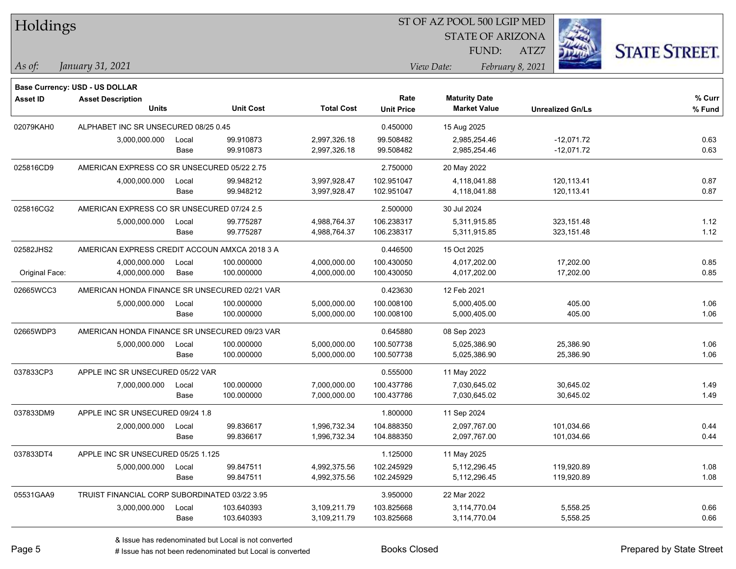| Holdings        |                                               |       |                  |                   | ST OF AZ POOL 500 LGIP MED |                                             |                         |                      |  |  |
|-----------------|-----------------------------------------------|-------|------------------|-------------------|----------------------------|---------------------------------------------|-------------------------|----------------------|--|--|
|                 |                                               |       |                  |                   |                            | <b>STATE OF ARIZONA</b>                     |                         |                      |  |  |
|                 |                                               |       |                  |                   |                            | FUND:                                       | ATZ7                    | <b>STATE STREET.</b> |  |  |
| As of:          | January 31, 2021                              |       |                  |                   |                            | View Date:                                  | February 8, 2021        |                      |  |  |
|                 |                                               |       |                  |                   |                            |                                             |                         |                      |  |  |
|                 | Base Currency: USD - US DOLLAR                |       |                  |                   |                            |                                             |                         |                      |  |  |
| <b>Asset ID</b> | <b>Asset Description</b><br><b>Units</b>      |       | <b>Unit Cost</b> | <b>Total Cost</b> | Rate<br><b>Unit Price</b>  | <b>Maturity Date</b><br><b>Market Value</b> | <b>Unrealized Gn/Ls</b> | % Curr<br>% Fund     |  |  |
|                 |                                               |       |                  |                   |                            |                                             |                         |                      |  |  |
| 02079KAH0       | ALPHABET INC SR UNSECURED 08/25 0.45          |       |                  |                   | 0.450000                   | 15 Aug 2025                                 |                         |                      |  |  |
|                 | 3,000,000.000                                 | Local | 99.910873        | 2,997,326.18      | 99.508482                  | 2,985,254.46                                | $-12,071.72$            | 0.63                 |  |  |
|                 |                                               | Base  | 99.910873        | 2,997,326.18      | 99.508482                  | 2,985,254.46                                | $-12,071.72$            | 0.63                 |  |  |
| 025816CD9       | AMERICAN EXPRESS CO SR UNSECURED 05/22 2.75   |       |                  |                   | 2.750000                   | 20 May 2022                                 |                         |                      |  |  |
|                 | 4,000,000.000                                 | Local | 99.948212        | 3,997,928.47      | 102.951047                 | 4,118,041.88                                | 120,113.41              | 0.87                 |  |  |
|                 |                                               | Base  | 99.948212        | 3,997,928.47      | 102.951047                 | 4,118,041.88                                | 120,113.41              | 0.87                 |  |  |
| 025816CG2       | AMERICAN EXPRESS CO SR UNSECURED 07/24 2.5    |       |                  |                   | 2.500000                   | 30 Jul 2024                                 |                         |                      |  |  |
|                 | 5,000,000.000                                 | Local | 99.775287        | 4,988,764.37      | 106.238317                 | 5,311,915.85                                | 323,151.48              | 1.12                 |  |  |
|                 |                                               | Base  | 99.775287        | 4,988,764.37      | 106.238317                 | 5,311,915.85                                | 323, 151.48             | 1.12                 |  |  |
| 02582JHS2       | AMERICAN EXPRESS CREDIT ACCOUN AMXCA 2018 3 A |       |                  |                   | 0.446500                   | 15 Oct 2025                                 |                         |                      |  |  |
|                 | 4,000,000.000                                 | Local | 100.000000       | 4,000,000.00      | 100.430050                 | 4,017,202.00                                | 17,202.00               | 0.85                 |  |  |
| Original Face:  | 4,000,000.000                                 | Base  | 100.000000       | 4,000,000.00      | 100.430050                 | 4,017,202.00                                | 17,202.00               | 0.85                 |  |  |
| 02665WCC3       | AMERICAN HONDA FINANCE SR UNSECURED 02/21 VAR |       |                  |                   | 0.423630                   | 12 Feb 2021                                 |                         |                      |  |  |
|                 | 5,000,000.000                                 | Local | 100.000000       | 5,000,000.00      | 100.008100                 | 5,000,405.00                                | 405.00                  | 1.06                 |  |  |
|                 |                                               | Base  | 100.000000       | 5,000,000.00      | 100.008100                 | 5,000,405.00                                | 405.00                  | 1.06                 |  |  |
| 02665WDP3       | AMERICAN HONDA FINANCE SR UNSECURED 09/23 VAR |       |                  |                   | 0.645880                   | 08 Sep 2023                                 |                         |                      |  |  |
|                 | 5,000,000.000                                 | Local | 100.000000       | 5,000,000.00      | 100.507738                 | 5,025,386.90                                | 25,386.90               | 1.06                 |  |  |
|                 |                                               | Base  | 100.000000       | 5,000,000.00      | 100.507738                 | 5,025,386.90                                | 25,386.90               | 1.06                 |  |  |
| 037833CP3       | APPLE INC SR UNSECURED 05/22 VAR              |       |                  |                   | 0.555000                   | 11 May 2022                                 |                         |                      |  |  |
|                 | 7,000,000.000                                 | Local | 100.000000       | 7,000,000.00      | 100.437786                 | 7,030,645.02                                | 30,645.02               | 1.49                 |  |  |
|                 |                                               | Base  | 100.000000       | 7,000,000.00      | 100.437786                 | 7,030,645.02                                | 30,645.02               | 1.49                 |  |  |
| 037833DM9       | APPLE INC SR UNSECURED 09/24 1.8              |       |                  |                   | 1.800000                   | 11 Sep 2024                                 |                         |                      |  |  |
|                 | 2,000,000.000                                 | Local | 99.836617        | 1,996,732.34      | 104.888350                 | 2,097,767.00                                | 101,034.66              | 0.44                 |  |  |
|                 |                                               | Base  | 99.836617        | 1,996,732.34      | 104.888350                 | 2,097,767.00                                | 101,034.66              | 0.44                 |  |  |
| 037833DT4       | APPLE INC SR UNSECURED 05/25 1.125            |       |                  |                   | 1.125000                   | 11 May 2025                                 |                         |                      |  |  |
|                 | 5,000,000.000                                 | Local | 99.847511        | 4,992,375.56      | 102.245929                 | 5,112,296.45                                | 119,920.89              | 1.08                 |  |  |
|                 |                                               | Base  | 99.847511        | 4,992,375.56      | 102.245929                 | 5,112,296.45                                | 119,920.89              | 1.08                 |  |  |
| 05531GAA9       | TRUIST FINANCIAL CORP SUBORDINATED 03/22 3.95 |       |                  |                   | 3.950000                   | 22 Mar 2022                                 |                         |                      |  |  |
|                 | 3,000,000.000                                 | Local | 103.640393       | 3,109,211.79      | 103.825668                 | 3,114,770.04                                | 5,558.25                | 0.66                 |  |  |
|                 |                                               | Base  | 103.640393       | 3,109,211.79      | 103.825668                 | 3,114,770.04                                | 5,558.25                | 0.66                 |  |  |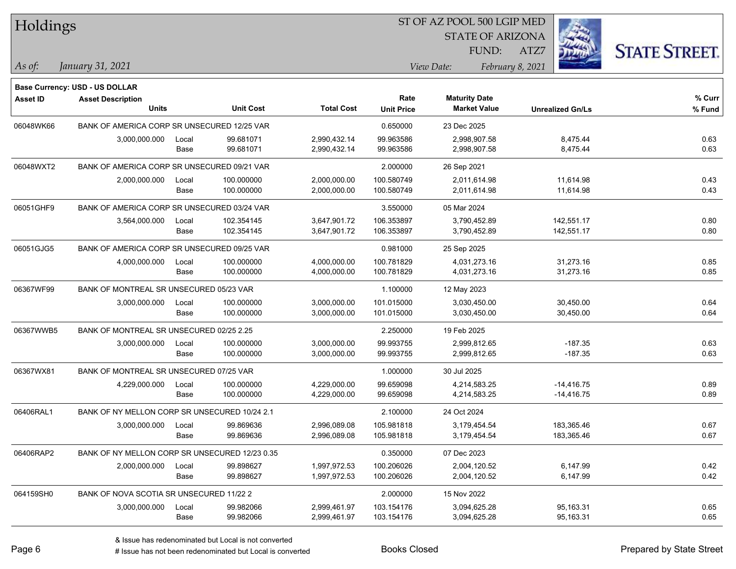| Holdings        |                                                |       |                  |                   |                   |                         |                         |                      |
|-----------------|------------------------------------------------|-------|------------------|-------------------|-------------------|-------------------------|-------------------------|----------------------|
|                 |                                                |       |                  |                   |                   | <b>STATE OF ARIZONA</b> |                         |                      |
|                 |                                                |       |                  |                   |                   | FUND:                   | ATZ7                    | <b>STATE STREET.</b> |
| $\vert$ As of:  | January 31, 2021                               |       |                  |                   |                   | View Date:              | February 8, 2021        |                      |
|                 | <b>Base Currency: USD - US DOLLAR</b>          |       |                  |                   |                   |                         |                         |                      |
| <b>Asset ID</b> | <b>Asset Description</b>                       |       |                  |                   | Rate              | <b>Maturity Date</b>    |                         | % Curr               |
|                 | <b>Units</b>                                   |       | <b>Unit Cost</b> | <b>Total Cost</b> | <b>Unit Price</b> | <b>Market Value</b>     | <b>Unrealized Gn/Ls</b> | % Fund               |
| 06048WK66       | BANK OF AMERICA CORP SR UNSECURED 12/25 VAR    |       |                  |                   | 0.650000          | 23 Dec 2025             |                         |                      |
|                 | 3,000,000.000                                  | Local | 99.681071        | 2,990,432.14      | 99.963586         | 2,998,907.58            | 8,475.44                | 0.63                 |
|                 |                                                | Base  | 99.681071        | 2,990,432.14      | 99.963586         | 2,998,907.58            | 8,475.44                | 0.63                 |
| 06048WXT2       | BANK OF AMERICA CORP SR UNSECURED 09/21 VAR    |       |                  |                   | 2.000000          | 26 Sep 2021             |                         |                      |
|                 | 2,000,000.000                                  | Local | 100.000000       | 2,000,000.00      | 100.580749        | 2,011,614.98            | 11,614.98               | 0.43                 |
|                 |                                                | Base  | 100.000000       | 2,000,000.00      | 100.580749        | 2,011,614.98            | 11,614.98               | 0.43                 |
| 06051GHF9       | BANK OF AMERICA CORP SR UNSECURED 03/24 VAR    |       |                  |                   | 3.550000          | 05 Mar 2024             |                         |                      |
|                 | 3,564,000.000                                  | Local | 102.354145       | 3,647,901.72      | 106.353897        | 3,790,452.89            | 142,551.17              | 0.80                 |
|                 |                                                | Base  | 102.354145       | 3,647,901.72      | 106.353897        | 3,790,452.89            | 142,551.17              | 0.80                 |
| 06051GJG5       | BANK OF AMERICA CORP SR UNSECURED 09/25 VAR    |       |                  |                   | 0.981000          | 25 Sep 2025             |                         |                      |
|                 | 4,000,000.000                                  | Local | 100.000000       | 4,000,000.00      | 100.781829        | 4,031,273.16            | 31,273.16               | 0.85                 |
|                 |                                                | Base  | 100.000000       | 4,000,000.00      | 100.781829        | 4,031,273.16            | 31,273.16               | 0.85                 |
| 06367WF99       | BANK OF MONTREAL SR UNSECURED 05/23 VAR        |       |                  |                   | 1.100000          | 12 May 2023             |                         |                      |
|                 | 3,000,000.000                                  | Local | 100.000000       | 3,000,000.00      | 101.015000        | 3,030,450.00            | 30,450.00               | 0.64                 |
|                 |                                                | Base  | 100.000000       | 3,000,000.00      | 101.015000        | 3,030,450.00            | 30,450.00               | 0.64                 |
| 06367WWB5       | BANK OF MONTREAL SR UNSECURED 02/25 2.25       |       |                  |                   | 2.250000          | 19 Feb 2025             |                         |                      |
|                 | 3,000,000.000                                  | Local | 100.000000       | 3,000,000.00      | 99.993755         | 2,999,812.65            | $-187.35$               | 0.63                 |
|                 |                                                | Base  | 100.000000       | 3,000,000.00      | 99.993755         | 2,999,812.65            | $-187.35$               | 0.63                 |
| 06367WX81       | BANK OF MONTREAL SR UNSECURED 07/25 VAR        |       |                  |                   | 1.000000          | 30 Jul 2025             |                         |                      |
|                 | 4,229,000.000                                  | Local | 100.000000       | 4,229,000.00      | 99.659098         | 4,214,583.25            | $-14,416.75$            | 0.89                 |
|                 |                                                | Base  | 100.000000       | 4,229,000.00      | 99.659098         | 4,214,583.25            | $-14,416.75$            | 0.89                 |
| 06406RAL1       | BANK OF NY MELLON CORP SR UNSECURED 10/24 2.1  |       |                  |                   | 2.100000          | 24 Oct 2024             |                         |                      |
|                 | 3,000,000.000                                  | Local | 99.869636        | 2.996.089.08      | 105.981818        | 3,179,454.54            | 183,365.46              | 0.67                 |
|                 |                                                | Base  | 99.869636        | 2,996,089.08      | 105.981818        | 3,179,454.54            | 183,365.46              | 0.67                 |
| 06406RAP2       | BANK OF NY MELLON CORP SR UNSECURED 12/23 0.35 |       |                  |                   | 0.350000          | 07 Dec 2023             |                         |                      |
|                 | 2,000,000.000                                  | Local | 99.898627        | 1,997,972.53      | 100.206026        | 2,004,120.52            | 6,147.99                | 0.42                 |
|                 |                                                | Base  | 99.898627        | 1,997,972.53      | 100.206026        | 2,004,120.52            | 6,147.99                | 0.42                 |
| 064159SH0       | BANK OF NOVA SCOTIA SR UNSECURED 11/22 2       |       |                  |                   | 2.000000          | 15 Nov 2022             |                         |                      |
|                 | 3,000,000.000                                  | Local | 99.982066        | 2,999,461.97      | 103.154176        | 3,094,625.28            | 95,163.31               | 0.65                 |
|                 |                                                | Base  | 99.982066        | 2,999,461.97      | 103.154176        | 3,094,625.28            | 95,163.31               | 0.65                 |

# Issue has not been redenominated but Local is converted Books Closed Prepared by State Street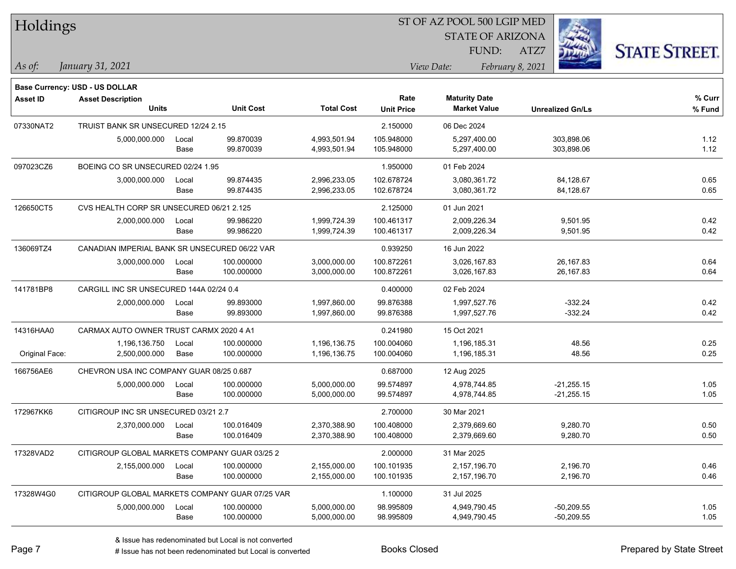| Holdings        |                                                 |       |                  |                   | ST OF AZ POOL 500 LGIP MED |                                             |                         |                      |
|-----------------|-------------------------------------------------|-------|------------------|-------------------|----------------------------|---------------------------------------------|-------------------------|----------------------|
|                 |                                                 |       |                  |                   |                            | <b>STATE OF ARIZONA</b>                     |                         |                      |
|                 |                                                 |       |                  |                   |                            | FUND:                                       | ATZ7                    | <b>STATE STREET.</b> |
| $\vert$ As of:  | January 31, 2021                                |       |                  |                   |                            | View Date:                                  | February 8, 2021        |                      |
|                 |                                                 |       |                  |                   |                            |                                             |                         |                      |
|                 | Base Currency: USD - US DOLLAR                  |       |                  |                   |                            |                                             |                         |                      |
| <b>Asset ID</b> | <b>Asset Description</b><br><b>Units</b>        |       | <b>Unit Cost</b> | <b>Total Cost</b> | Rate<br><b>Unit Price</b>  | <b>Maturity Date</b><br><b>Market Value</b> | <b>Unrealized Gn/Ls</b> | $%$ Curr<br>% Fund   |
| 07330NAT2       | TRUIST BANK SR UNSECURED 12/24 2.15             |       |                  |                   | 2.150000                   | 06 Dec 2024                                 |                         |                      |
|                 | 5,000,000.000                                   | Local | 99.870039        | 4,993,501.94      | 105.948000                 | 5,297,400.00                                | 303,898.06              | 1.12                 |
|                 |                                                 | Base  | 99.870039        | 4,993,501.94      | 105.948000                 | 5,297,400.00                                | 303,898.06              | 1.12                 |
| 097023CZ6       | BOEING CO SR UNSECURED 02/24 1.95               |       |                  |                   | 1.950000                   | 01 Feb 2024                                 |                         |                      |
|                 | 3,000,000.000                                   | Local | 99.874435        | 2,996,233.05      | 102.678724                 | 3,080,361.72                                | 84,128.67               | 0.65                 |
|                 |                                                 | Base  | 99.874435        | 2,996,233.05      | 102.678724                 | 3,080,361.72                                | 84,128.67               | 0.65                 |
| 126650CT5       | CVS HEALTH CORP SR UNSECURED 06/21 2.125        |       |                  |                   | 2.125000                   | 01 Jun 2021                                 |                         |                      |
|                 | 2,000,000.000                                   | Local | 99.986220        | 1,999,724.39      | 100.461317                 | 2,009,226.34                                | 9,501.95                | 0.42                 |
|                 |                                                 | Base  | 99.986220        | 1,999,724.39      | 100.461317                 | 2,009,226.34                                | 9,501.95                | 0.42                 |
| 136069TZ4       | CANADIAN IMPERIAL BANK SR UNSECURED 06/22 VAR   |       |                  |                   | 0.939250                   | 16 Jun 2022                                 |                         |                      |
|                 | 3,000,000.000                                   | Local | 100.000000       | 3,000,000.00      | 100.872261                 | 3,026,167.83                                | 26,167.83               | 0.64                 |
|                 |                                                 | Base  | 100.000000       | 3,000,000.00      | 100.872261                 | 3,026,167.83                                | 26,167.83               | 0.64                 |
| 141781BP8       | CARGILL INC SR UNSECURED 144A 02/24 0.4         |       |                  |                   | 0.400000                   | 02 Feb 2024                                 |                         |                      |
|                 | 2,000,000.000                                   | Local | 99.893000        | 1,997,860.00      | 99.876388                  | 1,997,527.76                                | $-332.24$               | 0.42                 |
|                 |                                                 | Base  | 99.893000        | 1,997,860.00      | 99.876388                  | 1,997,527.76                                | $-332.24$               | 0.42                 |
| 14316HAA0       | CARMAX AUTO OWNER TRUST CARMX 2020 4 A1         |       |                  |                   | 0.241980                   | 15 Oct 2021                                 |                         |                      |
|                 | 1,196,136.750                                   | Local | 100.000000       | 1,196,136.75      | 100.004060                 | 1,196,185.31                                | 48.56                   | 0.25                 |
| Original Face:  | 2,500,000.000                                   | Base  | 100.000000       | 1,196,136.75      | 100.004060                 | 1,196,185.31                                | 48.56                   | 0.25                 |
| 166756AE6       | CHEVRON USA INC COMPANY GUAR 08/25 0.687        |       |                  |                   | 0.687000                   | 12 Aug 2025                                 |                         |                      |
|                 | 5,000,000.000                                   | Local | 100.000000       | 5,000,000.00      | 99.574897                  | 4,978,744.85                                | $-21,255.15$            | 1.05                 |
|                 |                                                 | Base  | 100.000000       | 5,000,000.00      | 99.574897                  | 4,978,744.85                                | $-21,255.15$            | 1.05                 |
| 172967KK6       | CITIGROUP INC SR UNSECURED 03/21 2.7            |       |                  |                   | 2.700000                   | 30 Mar 2021                                 |                         |                      |
|                 | 2,370,000.000                                   | Local | 100.016409       | 2,370,388.90      | 100.408000                 | 2.379.669.60                                | 9,280.70                | 0.50                 |
|                 |                                                 | Base  | 100.016409       | 2,370,388.90      | 100.408000                 | 2,379,669.60                                | 9,280.70                | 0.50                 |
| 17328VAD2       | CITIGROUP GLOBAL MARKETS COMPANY GUAR 03/25 2   |       |                  |                   | 2.000000                   | 31 Mar 2025                                 |                         |                      |
|                 | 2,155,000.000                                   | Local | 100.000000       | 2,155,000.00      | 100.101935                 | 2,157,196.70                                | 2,196.70                | 0.46                 |
|                 |                                                 | Base  | 100.000000       | 2,155,000.00      | 100.101935                 | 2,157,196.70                                | 2,196.70                | 0.46                 |
| 17328W4G0       | CITIGROUP GLOBAL MARKETS COMPANY GUAR 07/25 VAR |       |                  |                   | 1.100000                   | 31 Jul 2025                                 |                         |                      |
|                 | 5,000,000.000                                   | Local | 100.000000       | 5,000,000.00      | 98.995809                  | 4,949,790.45                                | $-50,209.55$            | 1.05                 |
|                 |                                                 | Base  | 100.000000       | 5,000,000.00      | 98.995809                  | 4,949,790.45                                | $-50,209.55$            | 1.05                 |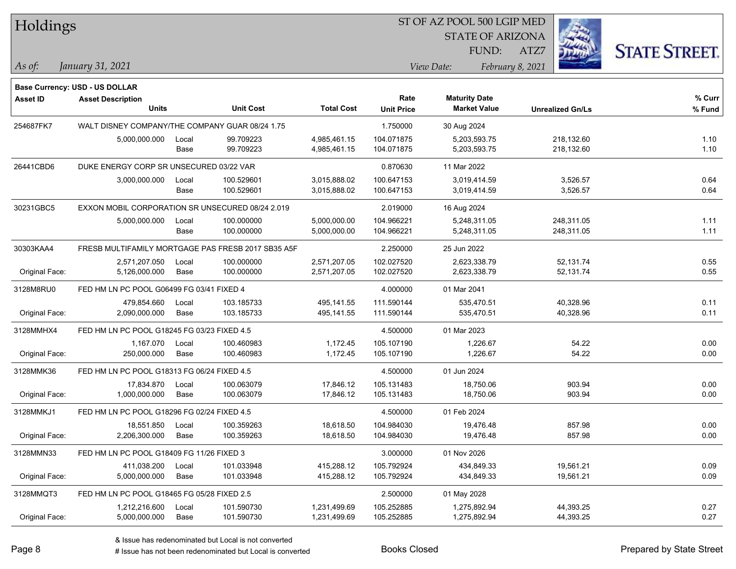|  |  | Holdings |  |
|--|--|----------|--|
|--|--|----------|--|

STATE OF ARIZONA FUND:



*January 31, 2021 As of: View Date: February 8, 2021*

**Base Currency: USD - US DOLLAR**

ATZ7

| Asset ID       | <b>Asset Description</b>                           |       |                  |                   | Rate              | <b>Maturity Date</b> |                         | % Curr |
|----------------|----------------------------------------------------|-------|------------------|-------------------|-------------------|----------------------|-------------------------|--------|
|                | <b>Units</b>                                       |       | <b>Unit Cost</b> | <b>Total Cost</b> | <b>Unit Price</b> | <b>Market Value</b>  | <b>Unrealized Gn/Ls</b> | % Fund |
| 254687FK7      | WALT DISNEY COMPANY/THE COMPANY GUAR 08/24 1.75    |       |                  |                   | 1.750000          | 30 Aug 2024          |                         |        |
|                | 5,000,000.000                                      | Local | 99.709223        | 4,985,461.15      | 104.071875        | 5,203,593.75         | 218,132.60              | 1.10   |
|                |                                                    | Base  | 99.709223        | 4,985,461.15      | 104.071875        | 5,203,593.75         | 218,132.60              | 1.10   |
| 26441CBD6      | DUKE ENERGY CORP SR UNSECURED 03/22 VAR            |       |                  |                   | 0.870630          | 11 Mar 2022          |                         |        |
|                | 3,000,000.000                                      | Local | 100.529601       | 3,015,888.02      | 100.647153        | 3,019,414.59         | 3,526.57                | 0.64   |
|                |                                                    | Base  | 100.529601       | 3,015,888.02      | 100.647153        | 3,019,414.59         | 3,526.57                | 0.64   |
| 30231GBC5      | EXXON MOBIL CORPORATION SR UNSECURED 08/24 2.019   |       |                  |                   | 2.019000          | 16 Aug 2024          |                         |        |
|                | 5,000,000.000                                      | Local | 100.000000       | 5,000,000.00      | 104.966221        | 5,248,311.05         | 248,311.05              | 1.11   |
|                |                                                    | Base  | 100.000000       | 5,000,000.00      | 104.966221        | 5,248,311.05         | 248,311.05              | 1.11   |
| 30303KAA4      | FRESB MULTIFAMILY MORTGAGE PAS FRESB 2017 SB35 A5F |       |                  |                   | 2.250000          | 25 Jun 2022          |                         |        |
|                | 2,571,207.050                                      | Local | 100.000000       | 2,571,207.05      | 102.027520        | 2,623,338.79         | 52,131.74               | 0.55   |
| Original Face: | 5,126,000.000                                      | Base  | 100.000000       | 2,571,207.05      | 102.027520        | 2,623,338.79         | 52,131.74               | 0.55   |
| 3128M8RU0      | FED HM LN PC POOL G06499 FG 03/41 FIXED 4          |       |                  |                   | 4.000000          | 01 Mar 2041          |                         |        |
|                | 479,854.660                                        | Local | 103.185733       | 495,141.55        | 111.590144        | 535,470.51           | 40,328.96               | 0.11   |
| Original Face: | 2,090,000.000                                      | Base  | 103.185733       | 495,141.55        | 111.590144        | 535,470.51           | 40,328.96               | 0.11   |
| 3128MMHX4      | FED HM LN PC POOL G18245 FG 03/23 FIXED 4.5        |       |                  |                   | 4.500000          | 01 Mar 2023          |                         |        |
|                | 1,167.070                                          | Local | 100.460983       | 1,172.45          | 105.107190        | 1,226.67             | 54.22                   | 0.00   |
| Original Face: | 250,000.000                                        | Base  | 100.460983       | 1,172.45          | 105.107190        | 1,226.67             | 54.22                   | 0.00   |
| 3128MMK36      | FED HM LN PC POOL G18313 FG 06/24 FIXED 4.5        |       |                  |                   | 4.500000          | 01 Jun 2024          |                         |        |
|                | 17,834.870                                         | Local | 100.063079       | 17,846.12         | 105.131483        | 18,750.06            | 903.94                  | 0.00   |
| Original Face: | 1,000,000.000                                      | Base  | 100.063079       | 17,846.12         | 105.131483        | 18,750.06            | 903.94                  | 0.00   |
| 3128MMKJ1      | FED HM LN PC POOL G18296 FG 02/24 FIXED 4.5        |       |                  |                   | 4.500000          | 01 Feb 2024          |                         |        |
|                | 18,551.850                                         | Local | 100.359263       | 18,618.50         | 104.984030        | 19,476.48            | 857.98                  | 0.00   |
| Original Face: | 2,206,300.000                                      | Base  | 100.359263       | 18,618.50         | 104.984030        | 19,476.48            | 857.98                  | 0.00   |
| 3128MMN33      | FED HM LN PC POOL G18409 FG 11/26 FIXED 3          |       |                  |                   | 3.000000          | 01 Nov 2026          |                         |        |
|                | 411,038.200                                        | Local | 101.033948       | 415,288.12        | 105.792924        | 434,849.33           | 19,561.21               | 0.09   |
| Original Face: | 5,000,000.000                                      | Base  | 101.033948       | 415,288.12        | 105.792924        | 434,849.33           | 19,561.21               | 0.09   |
| 3128MMQT3      | FED HM LN PC POOL G18465 FG 05/28 FIXED 2.5        |       |                  |                   | 2.500000          | 01 May 2028          |                         |        |
|                | 1,212,216.600                                      | Local | 101.590730       | 1,231,499.69      | 105.252885        | 1,275,892.94         | 44,393.25               | 0.27   |
| Original Face: | 5,000,000.000                                      | Base  | 101.590730       | 1,231,499.69      | 105.252885        | 1,275,892.94         | 44,393.25               | 0.27   |

A ISSUE ISSUE ISSUE ISSUE ISSUE ISSUE ISSUE ISSUE ISSUE ISSUE ISSUE ISSUE ISSUE ISSUE ISSUE ISSUE ISSUE ISSUE I<br>
# Issue has not been redenominated but Local is converted **BOOKS** Closed **Prepared by State Street**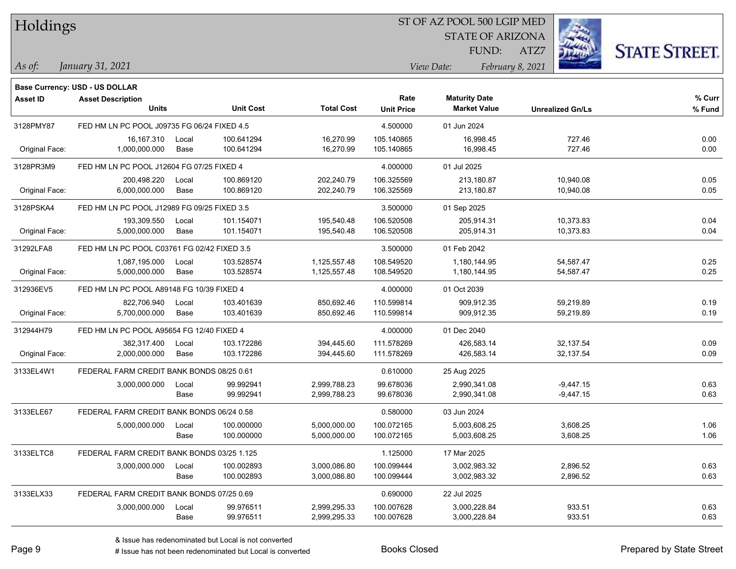| Holdings |
|----------|
|          |

STATE OF ARIZONA FUND:

ATZ7



*January 31, 2021 As of: View Date: February 8, 2021*

|                | Base Currency: USD - US DOLLAR              |               |                          |                              |                           |                                             |                            |                  |
|----------------|---------------------------------------------|---------------|--------------------------|------------------------------|---------------------------|---------------------------------------------|----------------------------|------------------|
| Asset ID       | <b>Asset Description</b><br><b>Units</b>    |               | <b>Unit Cost</b>         | <b>Total Cost</b>            | Rate<br><b>Unit Price</b> | <b>Maturity Date</b><br><b>Market Value</b> | <b>Unrealized Gn/Ls</b>    | % Curr<br>% Fund |
| 3128PMY87      | FED HM LN PC POOL J09735 FG 06/24 FIXED 4.5 |               |                          |                              | 4.500000                  | 01 Jun 2024                                 |                            |                  |
| Original Face: | 16,167.310<br>1,000,000.000                 | Local<br>Base | 100.641294<br>100.641294 | 16,270.99<br>16,270.99       | 105.140865<br>105.140865  | 16,998.45<br>16,998.45                      | 727.46<br>727.46           | 0.00<br>0.00     |
| 3128PR3M9      | FED HM LN PC POOL J12604 FG 07/25 FIXED 4   |               |                          |                              | 4.000000                  | 01 Jul 2025                                 |                            |                  |
| Original Face: | 200,498.220<br>6,000,000.000                | Local<br>Base | 100.869120<br>100.869120 | 202,240.79<br>202,240.79     | 106.325569<br>106.325569  | 213,180.87<br>213,180.87                    | 10,940.08<br>10,940.08     | 0.05<br>0.05     |
| 3128PSKA4      | FED HM LN PC POOL J12989 FG 09/25 FIXED 3.5 |               |                          |                              | 3.500000                  | 01 Sep 2025                                 |                            |                  |
| Original Face: | 193,309.550<br>5,000,000.000                | Local<br>Base | 101.154071<br>101.154071 | 195,540.48<br>195,540.48     | 106.520508<br>106.520508  | 205,914.31<br>205,914.31                    | 10,373.83<br>10,373.83     | 0.04<br>0.04     |
| 31292LFA8      | FED HM LN PC POOL C03761 FG 02/42 FIXED 3.5 |               |                          |                              | 3.500000                  | 01 Feb 2042                                 |                            |                  |
| Original Face: | 1,087,195.000<br>5,000,000.000              | Local<br>Base | 103.528574<br>103.528574 | 1,125,557.48<br>1,125,557.48 | 108.549520<br>108.549520  | 1,180,144.95<br>1,180,144.95                | 54,587.47<br>54,587.47     | 0.25<br>0.25     |
| 312936EV5      | FED HM LN PC POOL A89148 FG 10/39 FIXED 4   |               |                          |                              | 4.000000                  | 01 Oct 2039                                 |                            |                  |
| Original Face: | 822,706.940<br>5,700,000.000                | Local<br>Base | 103.401639<br>103.401639 | 850,692.46<br>850,692.46     | 110.599814<br>110.599814  | 909,912.35<br>909,912.35                    | 59,219.89<br>59,219.89     | 0.19<br>0.19     |
| 312944H79      | FED HM LN PC POOL A95654 FG 12/40 FIXED 4   |               |                          |                              | 4.000000                  | 01 Dec 2040                                 |                            |                  |
| Original Face: | 382,317.400<br>2,000,000.000                | Local<br>Base | 103.172286<br>103.172286 | 394,445.60<br>394,445.60     | 111.578269<br>111.578269  | 426,583.14<br>426,583.14                    | 32,137.54<br>32,137.54     | 0.09<br>0.09     |
| 3133EL4W1      | FEDERAL FARM CREDIT BANK BONDS 08/25 0.61   |               |                          |                              | 0.610000                  | 25 Aug 2025                                 |                            |                  |
|                | 3,000,000.000                               | Local<br>Base | 99.992941<br>99.992941   | 2,999,788.23<br>2,999,788.23 | 99.678036<br>99.678036    | 2,990,341.08<br>2,990,341.08                | $-9,447.15$<br>$-9,447.15$ | 0.63<br>0.63     |
| 3133ELE67      | FEDERAL FARM CREDIT BANK BONDS 06/24 0.58   |               |                          |                              | 0.580000                  | 03 Jun 2024                                 |                            |                  |
|                | 5,000,000.000                               | Local<br>Base | 100.000000<br>100.000000 | 5,000,000.00<br>5,000,000.00 | 100.072165<br>100.072165  | 5,003,608.25<br>5,003,608.25                | 3,608.25<br>3,608.25       | 1.06<br>1.06     |
| 3133ELTC8      | FEDERAL FARM CREDIT BANK BONDS 03/25 1.125  |               |                          |                              | 1.125000                  | 17 Mar 2025                                 |                            |                  |
|                | 3,000,000.000                               | Local<br>Base | 100.002893<br>100.002893 | 3,000,086.80<br>3,000,086.80 | 100.099444<br>100.099444  | 3,002,983.32<br>3,002,983.32                | 2,896.52<br>2,896.52       | 0.63<br>0.63     |
| 3133ELX33      | FEDERAL FARM CREDIT BANK BONDS 07/25 0.69   |               |                          |                              | 0.690000                  | 22 Jul 2025                                 |                            |                  |
|                | 3,000,000.000                               | Local<br>Base | 99.976511<br>99.976511   | 2,999,295.33<br>2,999,295.33 | 100.007628<br>100.007628  | 3,000,228.84<br>3,000,228.84                | 933.51<br>933.51           | 0.63<br>0.63     |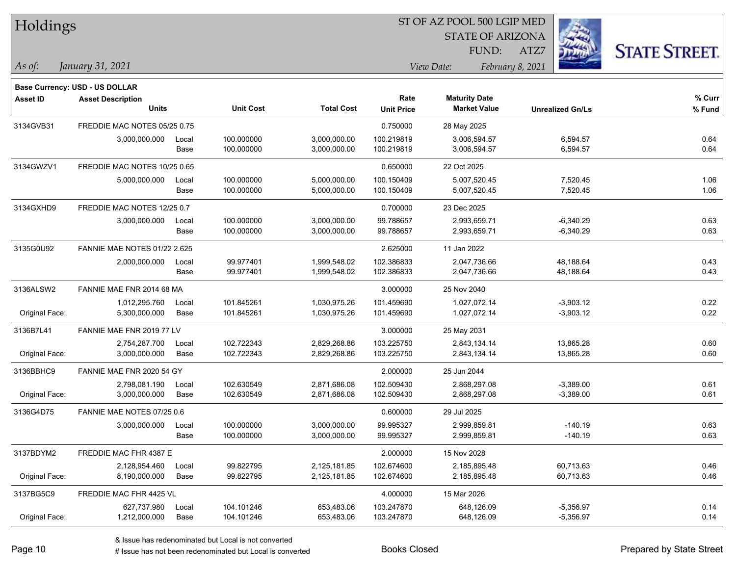| Holdings        |                                |       |                  |                   | ST OF AZ POOL 500 LGIP MED |                         |                         |                      |  |  |  |
|-----------------|--------------------------------|-------|------------------|-------------------|----------------------------|-------------------------|-------------------------|----------------------|--|--|--|
|                 |                                |       |                  |                   |                            | <b>STATE OF ARIZONA</b> |                         |                      |  |  |  |
|                 |                                |       |                  |                   |                            | FUND:                   | ATZ7                    | <b>STATE STREET.</b> |  |  |  |
| As of:          | January 31, 2021               |       |                  |                   |                            | View Date:              | February 8, 2021        |                      |  |  |  |
|                 | Base Currency: USD - US DOLLAR |       |                  |                   |                            |                         |                         |                      |  |  |  |
| <b>Asset ID</b> | <b>Asset Description</b>       |       |                  |                   | Rate                       | <b>Maturity Date</b>    |                         | % Curr               |  |  |  |
|                 | <b>Units</b>                   |       | <b>Unit Cost</b> | <b>Total Cost</b> | <b>Unit Price</b>          | <b>Market Value</b>     | <b>Unrealized Gn/Ls</b> | % Fund               |  |  |  |
| 3134GVB31       | FREDDIE MAC NOTES 05/25 0.75   |       |                  |                   | 0.750000                   | 28 May 2025             |                         |                      |  |  |  |
|                 | 3,000,000.000                  | Local | 100.000000       | 3,000,000.00      | 100.219819                 | 3,006,594.57            | 6,594.57                | 0.64                 |  |  |  |
|                 |                                | Base  | 100.000000       | 3,000,000.00      | 100.219819                 | 3,006,594.57            | 6,594.57                | 0.64                 |  |  |  |
| 3134GWZV1       | FREDDIE MAC NOTES 10/25 0.65   |       |                  |                   | 0.650000                   | 22 Oct 2025             |                         |                      |  |  |  |
|                 | 5,000,000.000                  | Local | 100.000000       | 5,000,000.00      | 100.150409                 | 5,007,520.45            | 7,520.45                | 1.06                 |  |  |  |
|                 |                                | Base  | 100.000000       | 5,000,000.00      | 100.150409                 | 5,007,520.45            | 7,520.45                | 1.06                 |  |  |  |
| 3134GXHD9       | FREDDIE MAC NOTES 12/25 0.7    |       |                  |                   | 0.700000                   | 23 Dec 2025             |                         |                      |  |  |  |
|                 | 3,000,000.000                  | Local | 100.000000       | 3,000,000.00      | 99.788657                  | 2,993,659.71            | $-6,340.29$             | 0.63                 |  |  |  |
|                 |                                | Base  | 100.000000       | 3,000,000.00      | 99.788657                  | 2,993,659.71            | $-6,340.29$             | 0.63                 |  |  |  |
| 3135G0U92       | FANNIE MAE NOTES 01/22 2.625   |       |                  |                   | 2.625000                   | 11 Jan 2022             |                         |                      |  |  |  |
|                 | 2,000,000.000                  | Local | 99.977401        | 1,999,548.02      | 102.386833                 | 2,047,736.66            | 48,188.64               | 0.43                 |  |  |  |
|                 |                                | Base  | 99.977401        | 1,999,548.02      | 102.386833                 | 2,047,736.66            | 48,188.64               | 0.43                 |  |  |  |
| 3136ALSW2       | FANNIE MAE FNR 2014 68 MA      |       |                  |                   | 3.000000                   | 25 Nov 2040             |                         |                      |  |  |  |
|                 | 1,012,295.760                  | Local | 101.845261       | 1,030,975.26      | 101.459690                 | 1,027,072.14            | $-3,903.12$             | 0.22                 |  |  |  |
| Original Face:  | 5,300,000.000                  | Base  | 101.845261       | 1,030,975.26      | 101.459690                 | 1,027,072.14            | $-3,903.12$             | 0.22                 |  |  |  |
| 3136B7L41       | FANNIE MAE FNR 2019 77 LV      |       |                  |                   | 3.000000                   | 25 May 2031             |                         |                      |  |  |  |
|                 | 2,754,287.700                  | Local | 102.722343       | 2,829,268.86      | 103.225750                 | 2,843,134.14            | 13,865.28               | 0.60                 |  |  |  |
| Original Face:  | 3,000,000.000                  | Base  | 102.722343       | 2,829,268.86      | 103.225750                 | 2,843,134.14            | 13,865.28               | 0.60                 |  |  |  |
| 3136BBHC9       | FANNIE MAE FNR 2020 54 GY      |       |                  |                   | 2.000000                   | 25 Jun 2044             |                         |                      |  |  |  |
|                 | 2,798,081.190                  | Local | 102.630549       | 2,871,686.08      | 102.509430                 | 2,868,297.08            | $-3,389.00$             | 0.61                 |  |  |  |
| Original Face:  | 3,000,000.000                  | Base  | 102.630549       | 2,871,686.08      | 102.509430                 | 2,868,297.08            | $-3,389.00$             | 0.61                 |  |  |  |
| 3136G4D75       | FANNIE MAE NOTES 07/25 0.6     |       |                  |                   | 0.600000                   | 29 Jul 2025             |                         |                      |  |  |  |
|                 | 3,000,000.000                  | Local | 100.000000       | 3,000,000.00      | 99.995327                  | 2,999,859.81            | $-140.19$               | 0.63                 |  |  |  |
|                 |                                | Base  | 100.000000       | 3,000,000.00      | 99.995327                  | 2,999,859.81            | -140.19                 | 0.63                 |  |  |  |
| 3137BDYM2       | FREDDIE MAC FHR 4387 E         |       |                  |                   | 2.000000                   | 15 Nov 2028             |                         |                      |  |  |  |
|                 | 2,128,954.460                  | Local | 99.822795        | 2,125,181.85      | 102.674600                 | 2,185,895.48            | 60,713.63               | 0.46                 |  |  |  |
| Original Face:  | 8,190,000.000                  | Base  | 99.822795        | 2,125,181.85      | 102.674600                 | 2,185,895.48            | 60,713.63               | 0.46                 |  |  |  |
| 3137BG5C9       | FREDDIE MAC FHR 4425 VL        |       |                  |                   | 4.000000                   | 15 Mar 2026             |                         |                      |  |  |  |
|                 | 627,737.980                    | Local | 104.101246       | 653,483.06        | 103.247870                 | 648,126.09              | $-5,356.97$             | 0.14                 |  |  |  |
| Original Face:  | 1,212,000.000                  | Base  | 104.101246       | 653,483.06        | 103.247870                 | 648,126.09              | $-5,356.97$             | 0.14                 |  |  |  |

 $\overline{\phantom{0}}$ 

 $\overline{\phantom{a}}$ 

 $\overline{\phantom{0}}$ 

 $\overline{\phantom{0}}$ 

 $\overline{\phantom{0}}$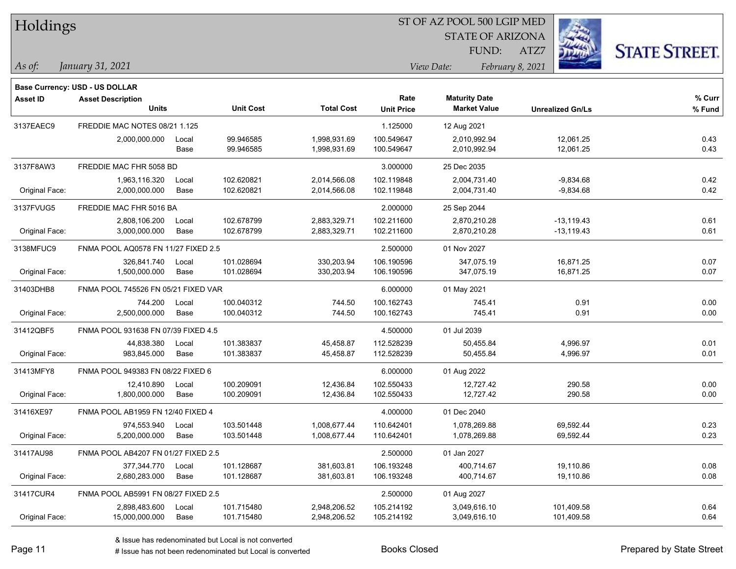| Holdings |  |
|----------|--|
|----------|--|

STATE OF ARIZONA

ATZ7



*January 31, 2021 As of: View Date: February 8, 2021*

**Base Currency: USD - US DOLLAR**

FUND:

| <b>Asset ID</b> | <b>Asset Description</b><br><b>Units</b> |       | <b>Unit Cost</b> | <b>Total Cost</b> | Rate<br><b>Unit Price</b> | <b>Maturity Date</b><br><b>Market Value</b> | <b>Unrealized Gn/Ls</b> | % Curr<br>% Fund |
|-----------------|------------------------------------------|-------|------------------|-------------------|---------------------------|---------------------------------------------|-------------------------|------------------|
| 3137EAEC9       | FREDDIE MAC NOTES 08/21 1.125            |       |                  |                   | 1.125000                  | 12 Aug 2021                                 |                         |                  |
|                 | 2,000,000.000                            | Local | 99.946585        | 1,998,931.69      | 100.549647                | 2,010,992.94                                | 12,061.25               | 0.43             |
|                 |                                          | Base  | 99.946585        | 1,998,931.69      | 100.549647                | 2,010,992.94                                | 12,061.25               | 0.43             |
| 3137F8AW3       | FREDDIE MAC FHR 5058 BD                  |       |                  |                   | 3.000000                  | 25 Dec 2035                                 |                         |                  |
|                 | 1,963,116.320                            | Local | 102.620821       | 2,014,566.08      | 102.119848                | 2,004,731.40                                | $-9,834.68$             | 0.42             |
| Original Face:  | 2,000,000.000                            | Base  | 102.620821       | 2,014,566.08      | 102.119848                | 2,004,731.40                                | $-9,834.68$             | 0.42             |
| 3137FVUG5       | FREDDIE MAC FHR 5016 BA                  |       |                  |                   | 2.000000                  | 25 Sep 2044                                 |                         |                  |
|                 | 2,808,106.200                            | Local | 102.678799       | 2,883,329.71      | 102.211600                | 2,870,210.28                                | $-13,119.43$            | 0.61             |
| Original Face:  | 3,000,000.000                            | Base  | 102.678799       | 2,883,329.71      | 102.211600                | 2,870,210.28                                | $-13,119.43$            | 0.61             |
| 3138MFUC9       | FNMA POOL AQ0578 FN 11/27 FIXED 2.5      |       |                  | 2.500000          | 01 Nov 2027               |                                             |                         |                  |
|                 | 326,841.740                              | Local | 101.028694       | 330,203.94        | 106.190596                | 347,075.19                                  | 16,871.25               | 0.07             |
| Original Face:  | 1,500,000.000                            | Base  | 101.028694       | 330,203.94        | 106.190596                | 347,075.19                                  | 16,871.25               | 0.07             |
| 31403DHB8       | FNMA POOL 745526 FN 05/21 FIXED VAR      |       |                  |                   | 6.000000                  | 01 May 2021                                 |                         |                  |
|                 | 744.200                                  | Local | 100.040312       | 744.50            | 100.162743                | 745.41                                      | 0.91                    | 0.00             |
| Original Face:  | 2,500,000.000                            | Base  | 100.040312       | 744.50            | 100.162743                | 745.41                                      | 0.91                    | 0.00             |
| 31412QBF5       | FNMA POOL 931638 FN 07/39 FIXED 4.5      |       |                  |                   | 4.500000                  | 01 Jul 2039                                 |                         |                  |
|                 | 44,838.380                               | Local | 101.383837       | 45,458.87         | 112.528239                | 50,455.84                                   | 4,996.97                | 0.01             |
| Original Face:  | 983,845.000                              | Base  | 101.383837       | 45,458.87         | 112.528239                | 50,455.84                                   | 4,996.97                | 0.01             |
| 31413MFY8       | FNMA POOL 949383 FN 08/22 FIXED 6        |       |                  |                   | 6.000000                  | 01 Aug 2022                                 |                         |                  |
|                 | 12,410.890                               | Local | 100.209091       | 12,436.84         | 102.550433                | 12,727.42                                   | 290.58                  | 0.00             |
| Original Face:  | 1,800,000.000                            | Base  | 100.209091       | 12,436.84         | 102.550433                | 12,727.42                                   | 290.58                  | 0.00             |
| 31416XE97       | FNMA POOL AB1959 FN 12/40 FIXED 4        |       |                  |                   | 4.000000                  | 01 Dec 2040                                 |                         |                  |
|                 | 974,553.940                              | Local | 103.501448       | 1,008,677.44      | 110.642401                | 1,078,269.88                                | 69,592.44               | 0.23             |
| Original Face:  | 5,200,000.000                            | Base  | 103.501448       | 1,008,677.44      | 110.642401                | 1,078,269.88                                | 69,592.44               | 0.23             |
| 31417AU98       | FNMA POOL AB4207 FN 01/27 FIXED 2.5      |       |                  |                   | 2.500000                  | 01 Jan 2027                                 |                         |                  |
|                 | 377,344.770                              | Local | 101.128687       | 381,603.81        | 106.193248                | 400,714.67                                  | 19,110.86               | 0.08             |
| Original Face:  | 2,680,283.000                            | Base  | 101.128687       | 381,603.81        | 106.193248                | 400,714.67                                  | 19,110.86               | 0.08             |
| 31417CUR4       | FNMA POOL AB5991 FN 08/27 FIXED 2.5      |       |                  |                   | 2.500000                  | 01 Aug 2027                                 |                         |                  |
|                 | 2,898,483.600                            | Local | 101.715480       | 2,948,206.52      | 105.214192                | 3,049,616.10                                | 101,409.58              | 0.64             |
| Original Face:  | 15,000,000.000                           | Base  | 101.715480       | 2,948,206.52      | 105.214192                | 3,049,616.10                                | 101,409.58              | 0.64             |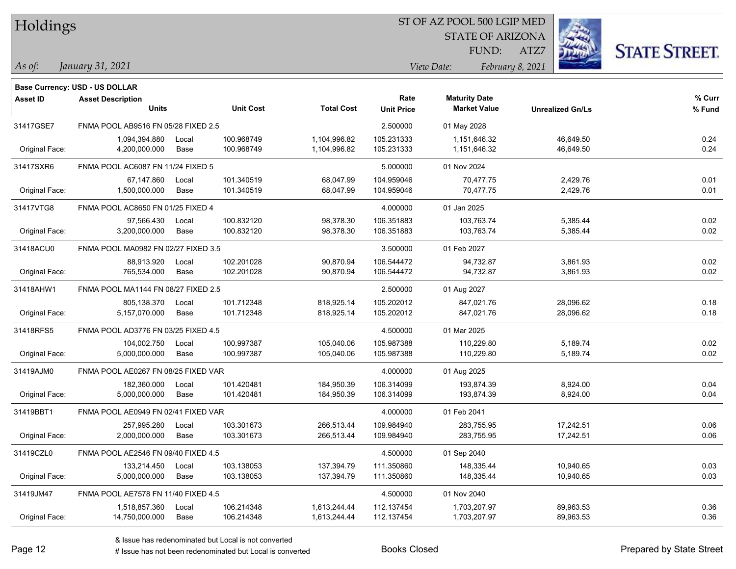| Holdings |
|----------|
|          |

STATE OF ARIZONA

ATZ7



*January 31, 2021 As of: View Date: February 8, 2021*

**Base Currency: USD - US DOLLAR**

FUND:

| <b>Asset ID</b> | <b>Asset Description</b>            |       |                  |                   | Rate              | <b>Maturity Date</b> |                         | % Curr |
|-----------------|-------------------------------------|-------|------------------|-------------------|-------------------|----------------------|-------------------------|--------|
|                 | <b>Units</b>                        |       | <b>Unit Cost</b> | <b>Total Cost</b> | <b>Unit Price</b> | <b>Market Value</b>  | <b>Unrealized Gn/Ls</b> | % Fund |
| 31417GSE7       | FNMA POOL AB9516 FN 05/28 FIXED 2.5 |       |                  |                   | 2.500000          | 01 May 2028          |                         |        |
|                 | 1,094,394.880                       | Local | 100.968749       | 1,104,996.82      | 105.231333        | 1,151,646.32         | 46,649.50               | 0.24   |
| Original Face:  | 4,200,000.000                       | Base  | 100.968749       | 1,104,996.82      | 105.231333        | 1,151,646.32         | 46,649.50               | 0.24   |
| 31417SXR6       | FNMA POOL AC6087 FN 11/24 FIXED 5   |       |                  |                   | 5.000000          | 01 Nov 2024          |                         |        |
|                 | 67,147.860                          | Local | 101.340519       | 68,047.99         | 104.959046        | 70,477.75            | 2,429.76                | 0.01   |
| Original Face:  | 1,500,000.000                       | Base  | 101.340519       | 68,047.99         | 104.959046        | 70,477.75            | 2,429.76                | 0.01   |
| 31417VTG8       | FNMA POOL AC8650 FN 01/25 FIXED 4   |       |                  |                   | 4.000000          | 01 Jan 2025          |                         |        |
|                 | 97,566.430                          | Local | 100.832120       | 98,378.30         | 106.351883        | 103,763.74           | 5,385.44                | 0.02   |
| Original Face:  | 3,200,000.000                       | Base  | 100.832120       | 98,378.30         | 106.351883        | 103,763.74           | 5,385.44                | 0.02   |
| 31418ACU0       | FNMA POOL MA0982 FN 02/27 FIXED 3.5 |       |                  |                   | 3.500000          | 01 Feb 2027          |                         |        |
|                 | 88,913.920                          | Local | 102.201028       | 90,870.94         | 106.544472        | 94,732.87            | 3,861.93                | 0.02   |
| Original Face:  | 765,534.000                         | Base  | 102.201028       | 90,870.94         | 106.544472        | 94,732.87            | 3,861.93                | 0.02   |
| 31418AHW1       | FNMA POOL MA1144 FN 08/27 FIXED 2.5 |       |                  |                   | 2.500000          | 01 Aug 2027          |                         |        |
|                 | 805,138.370                         | Local | 101.712348       | 818,925.14        | 105.202012        | 847.021.76           | 28,096.62               | 0.18   |
| Original Face:  | 5,157,070.000                       | Base  | 101.712348       | 818,925.14        | 105.202012        | 847,021.76           | 28,096.62               | 0.18   |
| 31418RFS5       | FNMA POOL AD3776 FN 03/25 FIXED 4.5 |       |                  |                   | 4.500000          | 01 Mar 2025          |                         |        |
|                 | 104,002.750                         | Local | 100.997387       | 105,040.06        | 105.987388        | 110,229.80           | 5,189.74                | 0.02   |
| Original Face:  | 5,000,000.000                       | Base  | 100.997387       | 105,040.06        | 105.987388        | 110,229.80           | 5,189.74                | 0.02   |
| 31419AJM0       | FNMA POOL AE0267 FN 08/25 FIXED VAR |       |                  |                   | 4.000000          | 01 Aug 2025          |                         |        |
|                 | 182,360.000                         | Local | 101.420481       | 184,950.39        | 106.314099        | 193,874.39           | 8,924.00                | 0.04   |
| Original Face:  | 5,000,000.000                       | Base  | 101.420481       | 184,950.39        | 106.314099        | 193,874.39           | 8,924.00                | 0.04   |
| 31419BBT1       | FNMA POOL AE0949 FN 02/41 FIXED VAR |       |                  |                   | 4.000000          | 01 Feb 2041          |                         |        |
|                 | 257,995.280                         | Local | 103.301673       | 266,513.44        | 109.984940        | 283,755.95           | 17,242.51               | 0.06   |
| Original Face:  | 2,000,000.000                       | Base  | 103.301673       | 266,513.44        | 109.984940        | 283,755.95           | 17,242.51               | 0.06   |
| 31419CZL0       | FNMA POOL AE2546 FN 09/40 FIXED 4.5 |       |                  |                   | 4.500000          | 01 Sep 2040          |                         |        |
|                 | 133,214.450                         | Local | 103.138053       | 137,394.79        | 111.350860        | 148,335.44           | 10,940.65               | 0.03   |
| Original Face:  | 5,000,000.000                       | Base  | 103.138053       | 137,394.79        | 111.350860        | 148,335.44           | 10,940.65               | 0.03   |
| 31419JM47       | FNMA POOL AE7578 FN 11/40 FIXED 4.5 |       |                  |                   | 4.500000          | 01 Nov 2040          |                         |        |
|                 | 1,518,857.360                       | Local | 106.214348       | 1,613,244.44      | 112.137454        | 1,703,207.97         | 89,963.53               | 0.36   |
| Original Face:  | 14,750,000.000                      | Base  | 106.214348       | 1,613,244.44      | 112.137454        | 1,703,207.97         | 89,963.53               | 0.36   |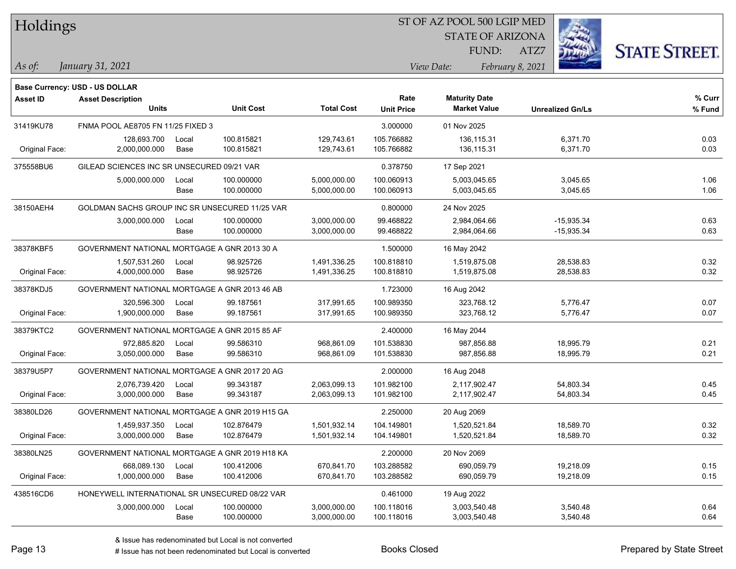| Holdings |
|----------|
|----------|

STATE OF ARIZONA

ATZ7



*January 31, 2021 As of: View Date: February 8, 2021*

**Base Currency: USD - US DOLLAR**

FUND:

| Asset ID                                                  | <b>Asset Description</b>                       |       |                  |                   | Rate              | <b>Maturity Date</b> |                         | % Curr |
|-----------------------------------------------------------|------------------------------------------------|-------|------------------|-------------------|-------------------|----------------------|-------------------------|--------|
|                                                           | <b>Units</b>                                   |       | <b>Unit Cost</b> | <b>Total Cost</b> | <b>Unit Price</b> | <b>Market Value</b>  | <b>Unrealized Gn/Ls</b> | % Fund |
| 31419KU78                                                 | FNMA POOL AE8705 FN 11/25 FIXED 3              |       |                  |                   | 3.000000          | 01 Nov 2025          |                         |        |
|                                                           | 128,693.700                                    | Local | 100.815821       | 129,743.61        | 105.766882        | 136,115.31           | 6,371.70                | 0.03   |
| Original Face:                                            | 2,000,000.000                                  | Base  | 100.815821       | 129,743.61        | 105.766882        | 136,115.31           | 6,371.70                | 0.03   |
| 375558BU6                                                 | GILEAD SCIENCES INC SR UNSECURED 09/21 VAR     |       |                  |                   | 0.378750          | 17 Sep 2021          |                         |        |
|                                                           | 5,000,000.000                                  | Local | 100.000000       | 5,000,000.00      | 100.060913        | 5,003,045.65         | 3,045.65                | 1.06   |
|                                                           |                                                | Base  | 100.000000       | 5,000,000.00      | 100.060913        | 5,003,045.65         | 3,045.65                | 1.06   |
| 38150AEH4                                                 | GOLDMAN SACHS GROUP INC SR UNSECURED 11/25 VAR |       |                  |                   | 0.800000          | 24 Nov 2025          |                         |        |
|                                                           | 3,000,000.000                                  | Local | 100.000000       | 3,000,000.00      | 99.468822         | 2,984,064.66         | $-15,935.34$            | 0.63   |
|                                                           |                                                | Base  | 100.000000       | 3,000,000.00      | 99.468822         | 2,984,064.66         | $-15,935.34$            | 0.63   |
| 38378KBF5<br>GOVERNMENT NATIONAL MORTGAGE A GNR 2013 30 A |                                                |       |                  |                   | 1.500000          | 16 May 2042          |                         |        |
|                                                           | 1,507,531.260                                  | Local | 98.925726        | 1,491,336.25      | 100.818810        | 1,519,875.08         | 28,538.83               | 0.32   |
| Original Face:                                            | 4,000,000.000                                  | Base  | 98.925726        | 1,491,336.25      | 100.818810        | 1,519,875.08         | 28,538.83               | 0.32   |
| 38378KDJ5                                                 | GOVERNMENT NATIONAL MORTGAGE A GNR 2013 46 AB  |       |                  |                   | 1.723000          | 16 Aug 2042          |                         |        |
|                                                           | 320,596.300                                    | Local | 99.187561        | 317,991.65        | 100.989350        | 323,768.12           | 5,776.47                | 0.07   |
| Original Face:                                            | 1,900,000.000                                  | Base  | 99.187561        | 317,991.65        | 100.989350        | 323,768.12           | 5,776.47                | 0.07   |
| 38379KTC2                                                 | GOVERNMENT NATIONAL MORTGAGE A GNR 2015 85 AF  |       |                  |                   | 2.400000          | 16 May 2044          |                         |        |
|                                                           | 972,885.820                                    | Local | 99.586310        | 968,861.09        | 101.538830        | 987,856.88           | 18,995.79               | 0.21   |
| Original Face:                                            | 3,050,000.000                                  | Base  | 99.586310        | 968,861.09        | 101.538830        | 987,856.88           | 18,995.79               | 0.21   |
| 38379U5P7                                                 | GOVERNMENT NATIONAL MORTGAGE A GNR 2017 20 AG  |       |                  |                   | 2.000000          | 16 Aug 2048          |                         |        |
|                                                           | 2,076,739.420                                  | Local | 99.343187        | 2,063,099.13      | 101.982100        | 2,117,902.47         | 54,803.34               | 0.45   |
| Original Face:                                            | 3,000,000.000                                  | Base  | 99.343187        | 2,063,099.13      | 101.982100        | 2,117,902.47         | 54,803.34               | 0.45   |
| 38380LD26                                                 | GOVERNMENT NATIONAL MORTGAGE A GNR 2019 H15 GA |       |                  |                   | 2.250000          | 20 Aug 2069          |                         |        |
|                                                           | 1,459,937.350                                  | Local | 102.876479       | 1,501,932.14      | 104.149801        | 1,520,521.84         | 18,589.70               | 0.32   |
| Original Face:                                            | 3,000,000.000                                  | Base  | 102.876479       | 1,501,932.14      | 104.149801        | 1,520,521.84         | 18,589.70               | 0.32   |
| 38380LN25                                                 | GOVERNMENT NATIONAL MORTGAGE A GNR 2019 H18 KA |       |                  |                   | 2.200000          | 20 Nov 2069          |                         |        |
|                                                           | 668,089.130                                    | Local | 100.412006       | 670,841.70        | 103.288582        | 690,059.79           | 19,218.09               | 0.15   |
| Original Face:                                            | 1,000,000.000                                  | Base  | 100.412006       | 670,841.70        | 103.288582        | 690,059.79           | 19,218.09               | 0.15   |
| 438516CD6                                                 | HONEYWELL INTERNATIONAL SR UNSECURED 08/22 VAR |       |                  |                   | 0.461000          | 19 Aug 2022          |                         |        |
|                                                           | 3,000,000.000                                  | Local | 100.000000       | 3,000,000.00      | 100.118016        | 3,003,540.48         | 3,540.48                | 0.64   |
|                                                           |                                                | Base  | 100.000000       | 3,000,000.00      | 100.118016        | 3,003,540.48         | 3,540.48                | 0.64   |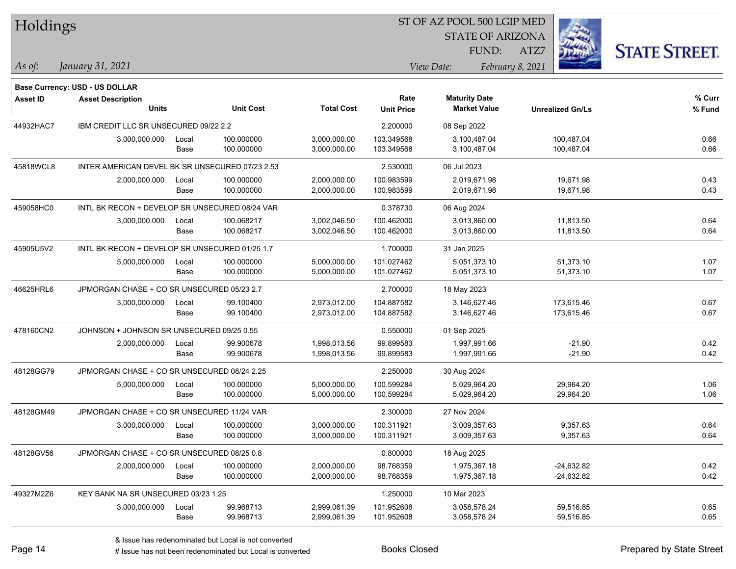| Holdings        |                                                                   |       |                  |                   |                   | 51 OF AZ POOL 500 LGIP MED |                         |                      |        |
|-----------------|-------------------------------------------------------------------|-------|------------------|-------------------|-------------------|----------------------------|-------------------------|----------------------|--------|
|                 |                                                                   |       |                  |                   |                   | <b>STATE OF ARIZONA</b>    |                         |                      |        |
|                 |                                                                   |       |                  |                   |                   | FUND:                      | ATZ7                    | <b>STATE STREET.</b> |        |
| As of:          | January 31, 2021                                                  |       |                  |                   |                   | View Date:                 | February 8, 2021        |                      |        |
|                 |                                                                   |       |                  |                   |                   |                            |                         |                      |        |
| <b>Asset ID</b> | <b>Base Currency: USD - US DOLLAR</b><br><b>Asset Description</b> |       |                  |                   | Rate              | <b>Maturity Date</b>       |                         |                      | % Curr |
|                 | <b>Units</b>                                                      |       | <b>Unit Cost</b> | <b>Total Cost</b> | <b>Unit Price</b> | <b>Market Value</b>        | <b>Unrealized Gn/Ls</b> |                      | % Fund |
| 44932HAC7       | IBM CREDIT LLC SR UNSECURED 09/22 2.2                             |       |                  |                   | 2.200000          | 08 Sep 2022                |                         |                      |        |
|                 | 3,000,000.000                                                     | Local | 100.000000       | 3,000,000.00      | 103.349568        | 3,100,487.04               | 100,487.04              |                      | 0.66   |
|                 |                                                                   | Base  | 100.000000       | 3,000,000.00      | 103.349568        | 3,100,487.04               | 100,487.04              |                      | 0.66   |
| 45818WCL8       | INTER AMERICAN DEVEL BK SR UNSECURED 07/23 2.53                   |       |                  |                   | 2.530000          | 06 Jul 2023                |                         |                      |        |
|                 | 2,000,000.000                                                     | Local | 100.000000       | 2,000,000.00      | 100.983599        | 2,019,671.98               | 19,671.98               |                      | 0.43   |
|                 |                                                                   | Base  | 100.000000       | 2,000,000.00      | 100.983599        | 2,019,671.98               | 19,671.98               |                      | 0.43   |
| 459058HC0       | INTL BK RECON + DEVELOP SR UNSECURED 08/24 VAR                    |       |                  |                   | 0.378730          | 06 Aug 2024                |                         |                      |        |
|                 | 3,000,000.000                                                     | Local | 100.068217       | 3,002,046.50      | 100.462000        | 3,013,860.00               | 11,813.50               |                      | 0.64   |
|                 |                                                                   | Base  | 100.068217       | 3,002,046.50      | 100.462000        | 3,013,860.00               | 11,813.50               |                      | 0.64   |
| 45905U5V2       | INTL BK RECON + DEVELOP SR UNSECURED 01/25 1.7                    |       |                  |                   | 1.700000          | 31 Jan 2025                |                         |                      |        |
|                 | 5,000,000.000                                                     | Local | 100.000000       | 5,000,000.00      | 101.027462        | 5,051,373.10               | 51,373.10               |                      | 1.07   |
|                 |                                                                   | Base  | 100.000000       | 5,000,000.00      | 101.027462        | 5,051,373.10               | 51,373.10               |                      | 1.07   |
| 46625HRL6       | JPMORGAN CHASE + CO SR UNSECURED 05/23 2.7                        |       |                  |                   | 2.700000          | 18 May 2023                |                         |                      |        |
|                 | 3,000,000.000                                                     | Local | 99.100400        | 2,973,012.00      | 104.887582        | 3,146,627.46               | 173,615.46              |                      | 0.67   |
|                 |                                                                   | Base  | 99.100400        | 2,973,012.00      | 104.887582        | 3,146,627.46               | 173,615.46              |                      | 0.67   |
| 478160CN2       | JOHNSON + JOHNSON SR UNSECURED 09/25 0.55                         |       |                  |                   | 0.550000          | 01 Sep 2025                |                         |                      |        |
|                 | 2,000,000.000                                                     | Local | 99.900678        | 1,998,013.56      | 99.899583         | 1,997,991.66               |                         | $-21.90$             | 0.42   |
|                 |                                                                   | Base  | 99.900678        | 1,998,013.56      | 99.899583         | 1,997,991.66               |                         | $-21.90$             | 0.42   |
| 48128GG79       | JPMORGAN CHASE + CO SR UNSECURED 08/24 2.25                       |       |                  |                   | 2.250000          | 30 Aug 2024                |                         |                      |        |
|                 | 5,000,000.000                                                     | Local | 100.000000       | 5,000,000.00      | 100.599284        | 5,029,964.20               | 29,964.20               |                      | 1.06   |
|                 |                                                                   | Base  | 100.000000       | 5,000,000.00      | 100.599284        | 5,029,964.20               | 29,964.20               |                      | 1.06   |
| 48128GM49       | JPMORGAN CHASE + CO SR UNSECURED 11/24 VAR                        |       |                  |                   | 2.300000          | 27 Nov 2024                |                         |                      |        |
|                 | 3,000,000.000                                                     | Local | 100.000000       | 3,000,000.00      | 100.311921        | 3,009,357.63               |                         | 9,357.63             | 0.64   |
|                 |                                                                   | Base  | 100.000000       | 3,000,000.00      | 100.311921        | 3,009,357.63               |                         | 9,357.63             | 0.64   |
| 48128GV56       | JPMORGAN CHASE + CO SR UNSECURED 08/25 0.8                        |       |                  |                   | 0.800000          | 18 Aug 2025                |                         |                      |        |
|                 | 2,000,000.000                                                     | Local | 100.000000       | 2,000,000.00      | 98.768359         | 1,975,367.18               | $-24,632.82$            |                      | 0.42   |
|                 |                                                                   | Base  | 100.000000       | 2,000,000.00      | 98.768359         | 1,975,367.18               | -24,632.82              |                      | 0.42   |
| 49327M2Z6       | KEY BANK NA SR UNSECURED 03/23 1.25                               |       |                  |                   | 1.250000          | 10 Mar 2023                |                         |                      |        |
|                 | 3,000,000.000                                                     | Local | 99.968713        | 2,999,061.39      | 101.952608        | 3,058,578.24               | 59,516.85               |                      | 0.65   |
|                 |                                                                   | Base  | 99.968713        | 2,999,061.39      | 101.952608        | 3,058,578.24               | 59,516.85               |                      | 0.65   |

denote the redenominated but Local is converted Books Closed Prepared by State Street

 $\overline{B}$   $\overline{B}$   $\overline{B}$   $\overline{B}$   $\overline{C}$   $\overline{D}$   $\overline{D}$   $\overline{D}$   $\overline{D}$   $\overline{D}$   $\overline{D}$   $\overline{D}$   $\overline{D}$   $\overline{D}$   $\overline{D}$   $\overline{D}$   $\overline{D}$   $\overline{D}$   $\overline{D}$   $\overline{D}$   $\overline{D}$   $\overline{D}$   $\overline{D}$   $\overline{D}$   $\overline{$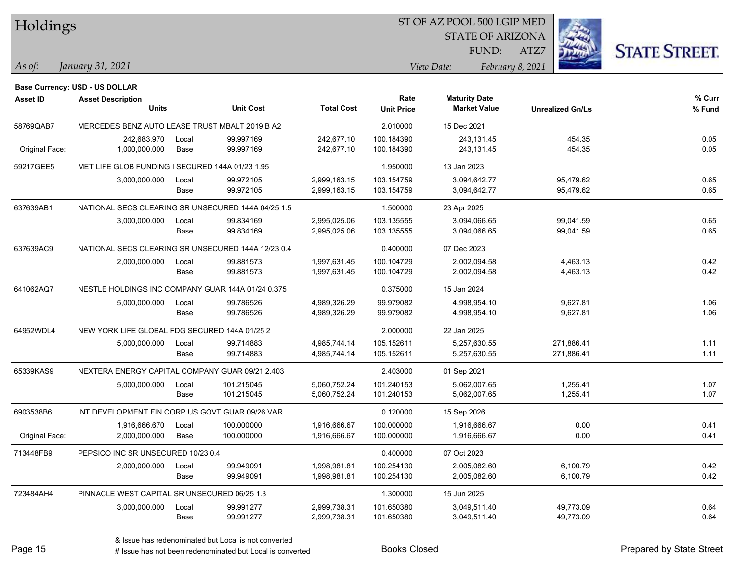| Holdings        |                                                    |       |                  |                   |                         | ST OF AZ POOL 500 LGIP MED |                         |                      |  |
|-----------------|----------------------------------------------------|-------|------------------|-------------------|-------------------------|----------------------------|-------------------------|----------------------|--|
|                 |                                                    |       |                  |                   | <b>STATE OF ARIZONA</b> |                            |                         |                      |  |
|                 |                                                    |       |                  |                   |                         | FUND:                      | ATZ7                    | <b>STATE STREET.</b> |  |
| As of:          | January 31, 2021                                   |       |                  |                   |                         | View Date:                 | February 8, 2021        |                      |  |
|                 |                                                    |       |                  |                   |                         |                            |                         |                      |  |
|                 | <b>Base Currency: USD - US DOLLAR</b>              |       |                  |                   |                         |                            |                         |                      |  |
| <b>Asset ID</b> | <b>Asset Description</b>                           |       |                  |                   | Rate                    | <b>Maturity Date</b>       |                         | % Curr               |  |
|                 | <b>Units</b>                                       |       | <b>Unit Cost</b> | <b>Total Cost</b> | <b>Unit Price</b>       | <b>Market Value</b>        | <b>Unrealized Gn/Ls</b> | % Fund               |  |
| 58769QAB7       | MERCEDES BENZ AUTO LEASE TRUST MBALT 2019 B A2     |       |                  |                   | 2.010000                | 15 Dec 2021                |                         |                      |  |
|                 | 242,683.970                                        | Local | 99.997169        | 242,677.10        | 100.184390              | 243,131.45                 | 454.35                  | 0.05                 |  |
| Original Face:  | 1,000,000.000                                      | Base  | 99.997169        | 242,677.10        | 100.184390              | 243,131.45                 | 454 35                  | 0.05                 |  |
| 59217GEE5       | MET LIFE GLOB FUNDING I SECURED 144A 01/23 1.95    |       |                  |                   | 1.950000                | 13 Jan 2023                |                         |                      |  |
|                 | 3,000,000.000                                      | Local | 99.972105        | 2,999,163.15      | 103.154759              | 3,094,642.77               | 95,479.62               | 0.65                 |  |
|                 |                                                    | Base  | 99.972105        | 2,999,163.15      | 103.154759              | 3,094,642.77               | 95,479.62               | 0.65                 |  |
| 637639AB1       | NATIONAL SECS CLEARING SR UNSECURED 144A 04/25 1.5 |       |                  |                   | 1.500000                | 23 Apr 2025                |                         |                      |  |
|                 | 3,000,000.000                                      | Local | 99.834169        | 2,995,025.06      | 103.135555              | 3,094,066.65               | 99,041.59               | 0.65                 |  |
|                 |                                                    | Base  | 99.834169        | 2,995,025.06      | 103.135555              | 3,094,066.65               | 99,041.59               | 0.65                 |  |
| 637639AC9       | NATIONAL SECS CLEARING SR UNSECURED 144A 12/23 0.4 |       |                  |                   | 0.400000                | 07 Dec 2023                |                         |                      |  |
|                 | 2,000,000.000                                      | Local | 99.881573        | 1,997,631.45      | 100.104729              | 2,002,094.58               | 4,463.13                | 0.42                 |  |
|                 |                                                    | Base  | 99.881573        | 1,997,631.45      | 100.104729              | 2,002,094.58               | 4,463.13                | 0.42                 |  |
| 641062AQ7       | NESTLE HOLDINGS INC COMPANY GUAR 144A 01/24 0.375  |       |                  |                   | 0.375000                | 15 Jan 2024                |                         |                      |  |
|                 | 5,000,000.000                                      | Local | 99.786526        | 4,989,326.29      | 99.979082               | 4,998,954.10               | 9,627.81                | 1.06                 |  |
|                 |                                                    | Base  | 99.786526        | 4,989,326.29      | 99.979082               | 4,998,954.10               | 9,627.81                | 1.06                 |  |
| 64952WDL4       | NEW YORK LIFE GLOBAL FDG SECURED 144A 01/25 2      |       |                  | 2.000000          | 22 Jan 2025             |                            |                         |                      |  |
|                 | 5,000,000.000                                      | Local | 99.714883        | 4,985,744.14      | 105.152611              | 5,257,630.55               | 271,886.41              | 1.11                 |  |
|                 |                                                    | Base  | 99.714883        | 4,985,744.14      | 105.152611              | 5,257,630.55               | 271,886.41              | 1.11                 |  |
| 65339KAS9       | NEXTERA ENERGY CAPITAL COMPANY GUAR 09/21 2.403    |       |                  |                   | 2.403000                | 01 Sep 2021                |                         |                      |  |
|                 | 5,000,000.000                                      | Local | 101.215045       | 5,060,752.24      | 101.240153              | 5,062,007.65               | 1,255.41                | 1.07                 |  |
|                 |                                                    | Base  | 101.215045       | 5,060,752.24      | 101.240153              | 5,062,007.65               | 1,255.41                | 1.07                 |  |
| 6903538B6       | INT DEVELOPMENT FIN CORP US GOVT GUAR 09/26 VAR    |       |                  |                   | 0.120000                | 15 Sep 2026                |                         |                      |  |
|                 | 1,916,666.670                                      | Local | 100.000000       | 1,916,666.67      | 100.000000              | 1,916,666.67               | 0.00                    | 0.41                 |  |
| Original Face:  | 2,000,000.000                                      | Base  | 100.000000       | 1,916,666.67      | 100.000000              | 1,916,666.67               | 0.00                    | 0.41                 |  |
| 713448FB9       | PEPSICO INC SR UNSECURED 10/23 0.4                 |       |                  |                   | 0.400000                | 07 Oct 2023                |                         |                      |  |
|                 | 2,000,000.000                                      | Local | 99.949091        | 1,998,981.81      | 100.254130              | 2,005,082.60               | 6,100.79                | 0.42                 |  |
|                 |                                                    | Base  | 99.949091        | 1,998,981.81      | 100.254130              | 2,005,082.60               | 6,100.79                | 0.42                 |  |
| 723484AH4       | PINNACLE WEST CAPITAL SR UNSECURED 06/25 1.3       |       |                  |                   | 1.300000                | 15 Jun 2025                |                         |                      |  |
|                 | 3,000,000.000                                      | Local | 99.991277        | 2,999,738.31      | 101.650380              | 3,049,511.40               | 49,773.09               | 0.64                 |  |
|                 |                                                    | Base  | 99.991277        | 2,999,738.31      | 101.650380              | 3,049,511.40               | 49,773.09               | 0.64                 |  |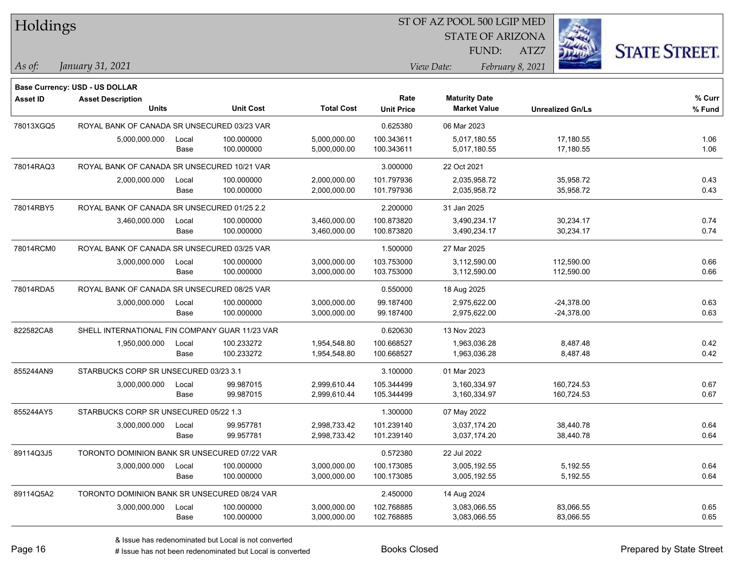| Holdings        |                                                |       |                  |                   | ST OF AZ POOL 500 LGIP MED |                         |                         |                      |
|-----------------|------------------------------------------------|-------|------------------|-------------------|----------------------------|-------------------------|-------------------------|----------------------|
|                 |                                                |       |                  |                   |                            | <b>STATE OF ARIZONA</b> |                         |                      |
|                 |                                                |       |                  |                   |                            | FUND:                   | ATZ7                    | <b>STATE STREET.</b> |
| As of:          | January 31, 2021                               |       |                  |                   |                            | View Date:              | February 8, 2021        |                      |
|                 | Base Currency: USD - US DOLLAR                 |       |                  |                   |                            |                         |                         |                      |
| <b>Asset ID</b> | <b>Asset Description</b>                       |       |                  |                   | Rate                       | <b>Maturity Date</b>    |                         | % Curr               |
|                 | <b>Units</b>                                   |       | <b>Unit Cost</b> | <b>Total Cost</b> | <b>Unit Price</b>          | <b>Market Value</b>     | <b>Unrealized Gn/Ls</b> | % Fund               |
| 78013XGQ5       | ROYAL BANK OF CANADA SR UNSECURED 03/23 VAR    |       |                  |                   | 0.625380                   | 06 Mar 2023             |                         |                      |
|                 | 5,000,000.000                                  | Local | 100.000000       | 5,000,000.00      | 100.343611                 | 5,017,180.55            | 17,180.55               | 1.06                 |
|                 |                                                | Base  | 100.000000       | 5,000,000.00      | 100.343611                 | 5,017,180.55            | 17,180.55               | 1.06                 |
| 78014RAQ3       | ROYAL BANK OF CANADA SR UNSECURED 10/21 VAR    |       |                  |                   | 3.000000                   | 22 Oct 2021             |                         |                      |
|                 | 2,000,000.000                                  | Local | 100.000000       | 2,000,000.00      | 101.797936                 | 2,035,958.72            | 35,958.72               | 0.43                 |
|                 |                                                | Base  | 100.000000       | 2,000,000.00      | 101.797936                 | 2,035,958.72            | 35,958.72               | 0.43                 |
| 78014RBY5       | ROYAL BANK OF CANADA SR UNSECURED 01/25 2.2    |       |                  |                   | 2.200000                   | 31 Jan 2025             |                         |                      |
|                 | 3,460,000.000                                  | Local | 100.000000       | 3,460,000.00      | 100.873820                 | 3,490,234.17            | 30,234.17               | 0.74                 |
|                 |                                                | Base  | 100.000000       | 3,460,000.00      | 100.873820                 | 3,490,234.17            | 30,234.17               | 0.74                 |
| 78014RCM0       | ROYAL BANK OF CANADA SR UNSECURED 03/25 VAR    |       |                  |                   | 1.500000                   | 27 Mar 2025             |                         |                      |
|                 | 3,000,000.000                                  | Local | 100.000000       | 3,000,000.00      | 103.753000                 | 3,112,590.00            | 112,590.00              | 0.66                 |
|                 |                                                | Base  | 100.000000       | 3,000,000.00      | 103.753000                 | 3,112,590.00            | 112,590.00              | 0.66                 |
| 78014RDA5       | ROYAL BANK OF CANADA SR UNSECURED 08/25 VAR    |       |                  |                   | 0.550000                   | 18 Aug 2025             |                         |                      |
|                 | 3,000,000.000                                  | Local | 100.000000       | 3,000,000.00      | 99.187400                  | 2,975,622.00            | $-24,378.00$            | 0.63                 |
|                 |                                                | Base  | 100.000000       | 3,000,000.00      | 99.187400                  | 2,975,622.00            | $-24,378.00$            | 0.63                 |
| 822582CA8       | SHELL INTERNATIONAL FIN COMPANY GUAR 11/23 VAR |       |                  |                   | 0.620630                   | 13 Nov 2023             |                         |                      |
|                 | 1,950,000.000                                  | Local | 100.233272       | 1,954,548.80      | 100.668527                 | 1,963,036.28            | 8,487.48                | 0.42                 |
|                 |                                                | Base  | 100.233272       | 1,954,548.80      | 100.668527                 | 1,963,036.28            | 8,487.48                | 0.42                 |
| 855244AN9       | STARBUCKS CORP SR UNSECURED 03/23 3.1          |       |                  |                   | 3.100000                   | 01 Mar 2023             |                         |                      |
|                 | 3,000,000.000                                  | Local | 99.987015        | 2,999,610.44      | 105.344499                 | 3,160,334.97            | 160,724.53              | 0.67                 |
|                 |                                                | Base  | 99.987015        | 2,999,610.44      | 105.344499                 | 3,160,334.97            | 160,724.53              | 0.67                 |
| 855244AY5       | STARBUCKS CORP SR UNSECURED 05/22 1.3          |       |                  |                   | 1.300000                   | 07 May 2022             |                         |                      |
|                 | 3,000,000.000                                  | Local | 99.957781        | 2,998,733.42      | 101.239140                 | 3,037,174.20            | 38,440.78               | 0.64                 |
|                 |                                                | Base  | 99.957781        | 2,998,733.42      | 101.239140                 | 3,037,174.20            | 38,440.78               | 0.64                 |
| 89114Q3J5       | TORONTO DOMINION BANK SR UNSECURED 07/22 VAR   |       |                  |                   | 0.572380                   | 22 Jul 2022             |                         |                      |
|                 | 3,000,000.000                                  | Local | 100.000000       | 3,000,000.00      | 100.173085                 | 3,005,192.55            | 5,192.55                | 0.64                 |
|                 |                                                | Base  | 100.000000       | 3,000,000.00      | 100.173085                 | 3,005,192.55            | 5,192.55                | 0.64                 |
| 89114Q5A2       | TORONTO DOMINION BANK SR UNSECURED 08/24 VAR   |       |                  |                   | 2.450000                   | 14 Aug 2024             |                         |                      |
|                 | 3,000,000.000                                  | Local | 100.000000       | 3,000,000.00      | 102.768885                 | 3,083,066.55            | 83,066.55               | 0.65                 |
|                 |                                                | Base  | 100.000000       | 3,000,000.00      | 102.768885                 | 3,083,066.55            | 83,066.55               | 0.65                 |

# Issue has not been redenominated but Local is converted Books Closed Prepared by State Street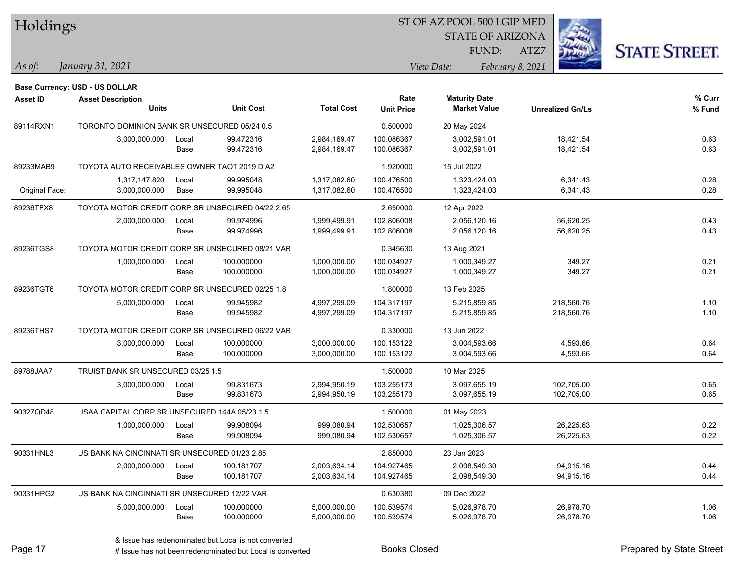| Holdings        |                                                  |               |                        |                              |                           | ST OF AZ POOL 500 LGIP MED                  |                         |                      |
|-----------------|--------------------------------------------------|---------------|------------------------|------------------------------|---------------------------|---------------------------------------------|-------------------------|----------------------|
|                 |                                                  |               |                        |                              |                           | <b>STATE OF ARIZONA</b>                     |                         |                      |
|                 |                                                  |               |                        |                              |                           | FUND:                                       | ATZ7                    | <b>STATE STREET.</b> |
| As of:          | January 31, 2021                                 |               |                        |                              |                           | View Date:                                  | February 8, 2021        |                      |
|                 |                                                  |               |                        |                              |                           |                                             |                         |                      |
|                 | Base Currency: USD - US DOLLAR                   |               |                        |                              |                           |                                             |                         |                      |
| <b>Asset ID</b> | <b>Asset Description</b><br><b>Units</b>         |               | <b>Unit Cost</b>       | <b>Total Cost</b>            | Rate<br><b>Unit Price</b> | <b>Maturity Date</b><br><b>Market Value</b> | <b>Unrealized Gn/Ls</b> | % Curr<br>% Fund     |
|                 |                                                  |               |                        |                              |                           |                                             |                         |                      |
| 89114RXN1       | TORONTO DOMINION BANK SR UNSECURED 05/24 0.5     |               |                        |                              | 0.500000                  | 20 May 2024                                 |                         |                      |
|                 | 3,000,000.000                                    | Local<br>Base | 99.472316<br>99.472316 | 2,984,169.47<br>2,984,169.47 | 100.086367<br>100.086367  | 3,002,591.01<br>3,002,591.01                | 18,421.54<br>18,421.54  | 0.63<br>0.63         |
|                 |                                                  |               |                        |                              |                           |                                             |                         |                      |
| 89233MAB9       | TOYOTA AUTO RECEIVABLES OWNER TAOT 2019 D A2     |               |                        |                              | 1.920000                  | 15 Jul 2022                                 |                         |                      |
|                 | 1,317,147.820                                    | Local         | 99.995048              | 1,317,082.60                 | 100.476500                | 1,323,424.03                                | 6,341.43                | 0.28                 |
| Original Face:  | 3,000,000.000                                    | Base          | 99.995048              | 1,317,082.60                 | 100.476500                | 1,323,424.03                                | 6,341.43                | 0.28                 |
| 89236TFX8       | TOYOTA MOTOR CREDIT CORP SR UNSECURED 04/22 2.65 |               |                        |                              | 2.650000                  | 12 Apr 2022                                 |                         |                      |
|                 | 2,000,000.000                                    | Local         | 99.974996              | 1,999,499.91                 | 102.806008                | 2,056,120.16                                | 56,620.25               | 0.43                 |
|                 |                                                  | Base          | 99.974996              | 1,999,499.91                 | 102.806008                | 2,056,120.16                                | 56,620.25               | 0.43                 |
| 89236TGS8       | TOYOTA MOTOR CREDIT CORP SR UNSECURED 08/21 VAR  |               |                        |                              | 0.345630                  | 13 Aug 2021                                 |                         |                      |
|                 | 1,000,000.000                                    | Local         | 100.000000             | 1,000,000.00                 | 100.034927                | 1,000,349.27                                | 349.27                  | 0.21                 |
|                 |                                                  | Base          | 100.000000             | 1,000,000.00                 | 100.034927                | 1,000,349.27                                | 349.27                  | 0.21                 |
| 89236TGT6       | TOYOTA MOTOR CREDIT CORP SR UNSECURED 02/25 1.8  |               |                        |                              | 1.800000                  | 13 Feb 2025                                 |                         |                      |
|                 | 5,000,000.000                                    | Local         | 99.945982              | 4,997,299.09                 | 104.317197                | 5,215,859.85                                | 218,560.76              | 1.10                 |
|                 |                                                  | Base          | 99.945982              | 4,997,299.09                 | 104.317197                | 5,215,859.85                                | 218,560.76              | 1.10                 |
| 89236THS7       | TOYOTA MOTOR CREDIT CORP SR UNSECURED 06/22 VAR  |               |                        |                              | 0.330000                  | 13 Jun 2022                                 |                         |                      |
|                 | 3,000,000.000                                    | Local         | 100.000000             | 3,000,000.00                 | 100.153122                | 3,004,593.66                                | 4,593.66                | 0.64                 |
|                 |                                                  | Base          | 100.000000             | 3,000,000.00                 | 100.153122                | 3,004,593.66                                | 4,593.66                | 0.64                 |
| 89788JAA7       | TRUIST BANK SR UNSECURED 03/25 1.5               |               |                        |                              | 1.500000                  | 10 Mar 2025                                 |                         |                      |
|                 | 3,000,000.000                                    | Local         | 99.831673              | 2,994,950.19                 | 103.255173                | 3,097,655.19                                | 102,705.00              | 0.65                 |
|                 |                                                  | Base          | 99.831673              | 2,994,950.19                 | 103.255173                | 3,097,655.19                                | 102,705.00              | 0.65                 |
| 90327QD48       | USAA CAPITAL CORP SR UNSECURED 144A 05/23 1.5    |               |                        |                              | 1.500000                  | 01 May 2023                                 |                         |                      |
|                 | 1,000,000.000                                    | Local         | 99.908094              | 999,080.94                   | 102.530657                | 1,025,306.57                                | 26,225.63               | 0.22                 |
|                 |                                                  | Base          | 99.908094              | 999,080.94                   | 102.530657                | 1,025,306.57                                | 26,225.63               | 0.22                 |
| 90331HNL3       | US BANK NA CINCINNATI SR UNSECURED 01/23 2.85    |               |                        |                              | 2.850000                  | 23 Jan 2023                                 |                         |                      |
|                 | 2,000,000.000                                    | Local         | 100.181707             | 2,003,634.14                 | 104.927465                | 2,098,549.30                                | 94,915.16               | 0.44                 |
|                 |                                                  | Base          | 100.181707             | 2,003,634.14                 | 104.927465                | 2,098,549.30                                | 94,915.16               | 0.44                 |
| 90331HPG2       | US BANK NA CINCINNATI SR UNSECURED 12/22 VAR     |               |                        |                              | 0.630380                  | 09 Dec 2022                                 |                         |                      |
|                 | 5,000,000.000                                    | Local         | 100.000000             | 5,000,000.00                 | 100.539574                | 5,026,978.70                                | 26,978.70               | 1.06                 |
|                 |                                                  | Base          | 100.000000             | 5,000,000.00                 | 100.539574                | 5,026,978.70                                | 26,978.70               | 1.06                 |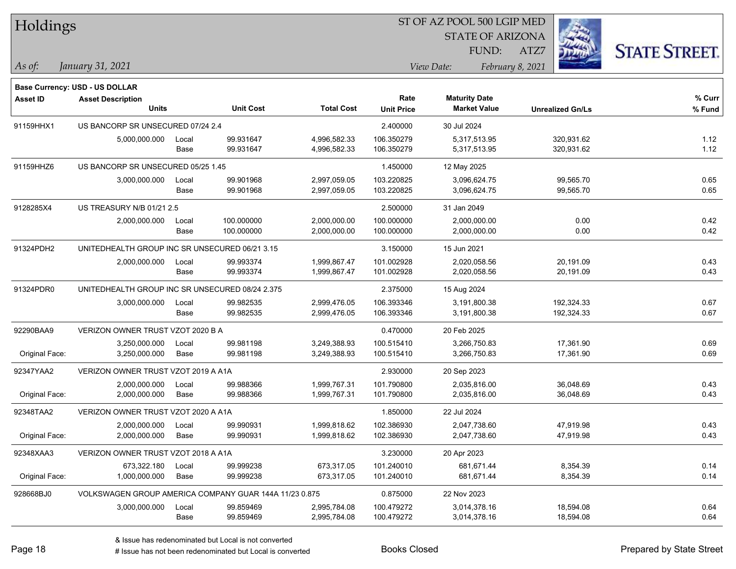| Holdings        |                                                        |               |                        |                              |                           | ST OF AZ POOL 500 LGIP MED                  |                          |                      |  |
|-----------------|--------------------------------------------------------|---------------|------------------------|------------------------------|---------------------------|---------------------------------------------|--------------------------|----------------------|--|
|                 |                                                        |               |                        |                              |                           | <b>STATE OF ARIZONA</b>                     |                          |                      |  |
|                 |                                                        |               |                        |                              |                           | FUND:                                       | ATZ7                     | <b>STATE STREET.</b> |  |
| $\vert$ As of:  | January 31, 2021                                       |               |                        |                              |                           | View Date:                                  | February 8, 2021         |                      |  |
|                 |                                                        |               |                        |                              |                           |                                             |                          |                      |  |
|                 | <b>Base Currency: USD - US DOLLAR</b>                  |               |                        |                              |                           |                                             |                          |                      |  |
| <b>Asset ID</b> | <b>Asset Description</b><br><b>Units</b>               |               | <b>Unit Cost</b>       | <b>Total Cost</b>            | Rate<br><b>Unit Price</b> | <b>Maturity Date</b><br><b>Market Value</b> | <b>Unrealized Gn/Ls</b>  | % Curr<br>% Fund     |  |
|                 |                                                        |               |                        |                              |                           |                                             |                          |                      |  |
| 91159HHX1       | US BANCORP SR UNSECURED 07/24 2.4                      |               |                        |                              | 2.400000                  | 30 Jul 2024                                 |                          |                      |  |
|                 | 5,000,000.000                                          | Local<br>Base | 99.931647<br>99.931647 | 4,996,582.33<br>4,996,582.33 | 106.350279<br>106.350279  | 5,317,513.95<br>5,317,513.95                | 320,931.62<br>320,931.62 | 1.12<br>1.12         |  |
|                 |                                                        |               |                        |                              |                           |                                             |                          |                      |  |
| 91159HHZ6       | US BANCORP SR UNSECURED 05/25 1.45                     |               | 99.901968              |                              | 1.450000                  | 12 May 2025                                 |                          | 0.65                 |  |
|                 | 3,000,000.000                                          | Local<br>Base | 99.901968              | 2,997,059.05<br>2,997,059.05 | 103.220825<br>103.220825  | 3,096,624.75<br>3,096,624.75                | 99,565.70<br>99,565.70   | 0.65                 |  |
| 9128285X4       | US TREASURY N/B 01/21 2.5                              |               |                        |                              | 2.500000                  | 31 Jan 2049                                 |                          |                      |  |
|                 | 2,000,000.000                                          |               | 100.000000             |                              | 100.000000                | 2,000,000.00                                | 0.00                     | 0.42                 |  |
|                 |                                                        | Local<br>Base | 100.000000             | 2,000,000.00<br>2,000,000.00 | 100.000000                | 2,000,000.00                                | 0.00                     | 0.42                 |  |
| 91324PDH2       | UNITEDHEALTH GROUP INC SR UNSECURED 06/21 3.15         |               |                        |                              | 3.150000                  | 15 Jun 2021                                 |                          |                      |  |
|                 | 2,000,000.000                                          | Local         | 99.993374              | 1,999,867.47                 | 101.002928                | 2,020,058.56                                | 20,191.09                | 0.43                 |  |
|                 |                                                        | Base          | 99.993374              | 1,999,867.47                 | 101.002928                | 2,020,058.56                                | 20,191.09                | 0.43                 |  |
| 91324PDR0       | UNITEDHEALTH GROUP INC SR UNSECURED 08/24 2.375        |               |                        |                              | 2.375000                  | 15 Aug 2024                                 |                          |                      |  |
|                 | 3,000,000.000                                          | Local         | 99.982535              | 2,999,476.05                 | 106.393346                | 3,191,800.38                                | 192,324.33               | 0.67                 |  |
|                 |                                                        | Base          | 99.982535              | 2,999,476.05                 | 106.393346                | 3,191,800.38                                | 192,324.33               | 0.67                 |  |
| 92290BAA9       | VERIZON OWNER TRUST VZOT 2020 B A                      |               |                        |                              | 0.470000                  | 20 Feb 2025                                 |                          |                      |  |
|                 | 3,250,000.000                                          | Local         | 99.981198              | 3,249,388.93                 | 100.515410                | 3,266,750.83                                | 17,361.90                | 0.69                 |  |
| Original Face:  | 3,250,000.000                                          | Base          | 99.981198              | 3,249,388.93                 | 100.515410                | 3,266,750.83                                | 17,361.90                | 0.69                 |  |
| 92347YAA2       | VERIZON OWNER TRUST VZOT 2019 A A1A                    |               |                        |                              | 2.930000                  | 20 Sep 2023                                 |                          |                      |  |
|                 | 2,000,000.000                                          | Local         | 99.988366              | 1,999,767.31                 | 101.790800                | 2,035,816.00                                | 36,048.69                | 0.43                 |  |
| Original Face:  | 2,000,000.000                                          | Base          | 99.988366              | 1,999,767.31                 | 101.790800                | 2,035,816.00                                | 36,048.69                | 0.43                 |  |
| 92348TAA2       | VERIZON OWNER TRUST VZOT 2020 A A1A                    |               |                        |                              | 1.850000                  | 22 Jul 2024                                 |                          |                      |  |
|                 | 2,000,000.000                                          | Local         | 99.990931              | 1,999,818.62                 | 102.386930                | 2,047,738.60                                | 47,919.98                | 0.43                 |  |
| Original Face:  | 2,000,000.000                                          | Base          | 99.990931              | 1,999,818.62                 | 102.386930                | 2,047,738.60                                | 47,919.98                | 0.43                 |  |
| 92348XAA3       | VERIZON OWNER TRUST VZOT 2018 A A1A                    |               |                        |                              | 3.230000                  | 20 Apr 2023                                 |                          |                      |  |
|                 | 673,322.180                                            | Local         | 99.999238              | 673,317.05                   | 101.240010                | 681,671.44                                  | 8,354.39                 | 0.14                 |  |
| Original Face:  | 1,000,000.000                                          | Base          | 99.999238              | 673,317.05                   | 101.240010                | 681,671.44                                  | 8,354.39                 | 0.14                 |  |
| 928668BJ0       | VOLKSWAGEN GROUP AMERICA COMPANY GUAR 144A 11/23 0.875 |               |                        |                              | 0.875000                  | 22 Nov 2023                                 |                          |                      |  |
|                 | 3,000,000.000                                          | Local         | 99.859469              | 2,995,784.08                 | 100.479272                | 3,014,378.16                                | 18,594.08                | 0.64                 |  |
|                 |                                                        | Base          | 99.859469              | 2,995,784.08                 | 100.479272                | 3,014,378.16                                | 18,594.08                | 0.64                 |  |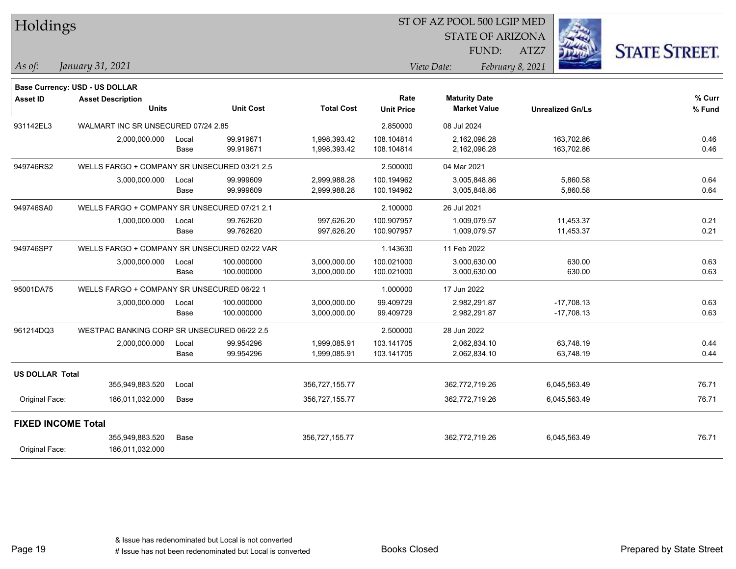| <b>Holdings</b>           |                                              |       |                  |                   | 51 OF AZ POOL 500 LGIP MED |                         |                         |                      |  |
|---------------------------|----------------------------------------------|-------|------------------|-------------------|----------------------------|-------------------------|-------------------------|----------------------|--|
|                           |                                              |       |                  |                   |                            | <b>STATE OF ARIZONA</b> |                         |                      |  |
|                           |                                              |       |                  |                   |                            | FUND:                   | ATZ7                    | <b>STATE STREET.</b> |  |
| As of:                    | January 31, 2021                             |       |                  |                   |                            | View Date:              | February 8, 2021        |                      |  |
|                           |                                              |       |                  |                   |                            |                         |                         |                      |  |
|                           | <b>Base Currency: USD - US DOLLAR</b>        |       |                  |                   |                            |                         |                         |                      |  |
| <b>Asset ID</b>           | <b>Asset Description</b>                     |       |                  | <b>Total Cost</b> | Rate                       | <b>Maturity Date</b>    |                         | % Curr               |  |
|                           | <b>Units</b>                                 |       | <b>Unit Cost</b> |                   | <b>Unit Price</b>          | <b>Market Value</b>     | <b>Unrealized Gn/Ls</b> | % Fund               |  |
| 931142EL3                 | WALMART INC SR UNSECURED 07/24 2.85          |       |                  |                   | 2.850000                   | 08 Jul 2024             |                         |                      |  |
|                           | 2,000,000.000                                | Local | 99.919671        | 1,998,393.42      | 108.104814                 | 2,162,096.28            | 163,702.86              | 0.46                 |  |
|                           |                                              | Base  | 99.919671        | 1,998,393.42      | 108.104814                 | 2,162,096.28            | 163,702.86              | 0.46                 |  |
| 949746RS2                 | WELLS FARGO + COMPANY SR UNSECURED 03/21 2.5 |       |                  |                   | 2.500000                   | 04 Mar 2021             |                         |                      |  |
|                           | 3,000,000.000                                | Local | 99.999609        | 2,999,988.28      | 100.194962                 | 3,005,848.86            | 5,860.58                | 0.64                 |  |
|                           |                                              | Base  | 99.999609        | 2,999,988.28      | 100.194962                 | 3,005,848.86            | 5,860.58                | 0.64                 |  |
| 949746SA0                 | WELLS FARGO + COMPANY SR UNSECURED 07/21 2.1 |       |                  |                   | 2.100000                   | 26 Jul 2021             |                         |                      |  |
|                           | 1,000,000.000                                | Local | 99.762620        | 997,626.20        | 100.907957                 | 1,009,079.57            | 11,453.37               | 0.21                 |  |
|                           |                                              | Base  | 99.762620        | 997,626.20        | 100.907957                 | 1,009,079.57            | 11,453.37               | 0.21                 |  |
| 949746SP7                 | WELLS FARGO + COMPANY SR UNSECURED 02/22 VAR |       |                  |                   | 1.143630                   | 11 Feb 2022             |                         |                      |  |
|                           | 3,000,000.000                                | Local | 100.000000       | 3,000,000.00      | 100.021000                 | 3,000,630.00            | 630.00                  | 0.63                 |  |
|                           |                                              | Base  | 100.000000       | 3,000,000.00      | 100.021000                 | 3,000,630.00            | 630.00                  | 0.63                 |  |
| 95001DA75                 | WELLS FARGO + COMPANY SR UNSECURED 06/22 1   |       |                  |                   | 1.000000                   | 17 Jun 2022             |                         |                      |  |
|                           | 3,000,000.000                                | Local | 100.000000       | 3,000,000.00      | 99.409729                  | 2,982,291.87            | $-17,708.13$            | 0.63                 |  |
|                           |                                              | Base  | 100.000000       | 3,000,000.00      | 99.409729                  | 2,982,291.87            | $-17,708.13$            | 0.63                 |  |
| 961214DQ3                 | WESTPAC BANKING CORP SR UNSECURED 06/22 2.5  |       |                  |                   | 2.500000                   | 28 Jun 2022             |                         |                      |  |
|                           | 2,000,000.000                                | Local | 99.954296        | 1,999,085.91      | 103.141705                 | 2,062,834.10            | 63,748.19               | 0.44                 |  |
|                           |                                              | Base  | 99.954296        | 1,999,085.91      | 103.141705                 | 2,062,834.10            | 63,748.19               | 0.44                 |  |
| <b>US DOLLAR Total</b>    |                                              |       |                  |                   |                            |                         |                         |                      |  |
|                           | 355,949,883.520                              | Local |                  | 356,727,155.77    |                            | 362,772,719.26          | 6,045,563.49            | 76.71                |  |
| Original Face:            | 186,011,032.000                              | Base  |                  | 356,727,155.77    |                            | 362,772,719.26          | 6,045,563.49            | 76.71                |  |
| <b>FIXED INCOME Total</b> |                                              |       |                  |                   |                            |                         |                         |                      |  |
|                           | 355,949,883.520                              | Base  |                  | 356,727,155.77    |                            | 362,772,719.26          | 6,045,563.49            | 76.71                |  |
| Original Face:            | 186,011,032.000                              |       |                  |                   |                            |                         |                         |                      |  |

 $\overline{\text{SD} + \text{F} \text{PQQI}}$  500 LGID MED

Page 19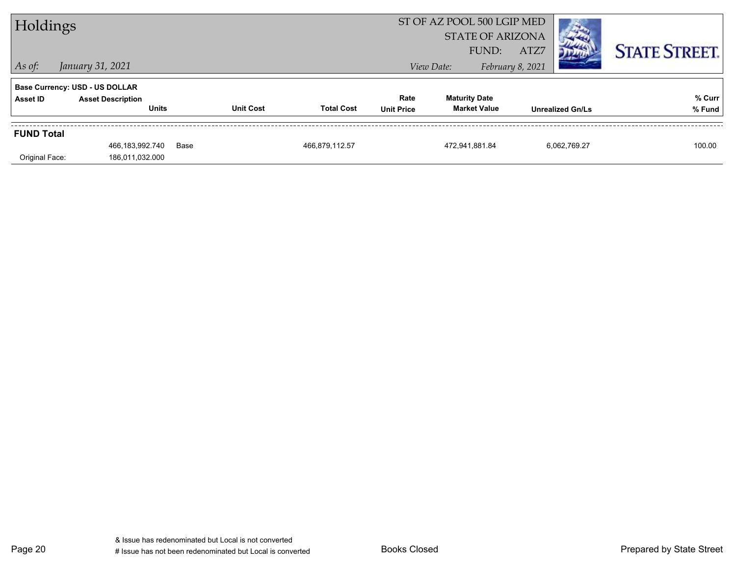| Holdings          |                                          |      |                  | ST OF AZ POOL 500 LGIP MED<br><b>STATE OF ARIZONA</b><br>ATZ7<br>FUND: |                           |                                             |  |                  | <b>STATE STREET.</b>    |                  |
|-------------------|------------------------------------------|------|------------------|------------------------------------------------------------------------|---------------------------|---------------------------------------------|--|------------------|-------------------------|------------------|
| $\vert$ As of:    | January 31, 2021                         |      |                  |                                                                        |                           | View Date:                                  |  | February 8, 2021 |                         |                  |
|                   | <b>Base Currency: USD - US DOLLAR</b>    |      |                  |                                                                        |                           |                                             |  |                  |                         |                  |
| Asset ID          | <b>Asset Description</b><br><b>Units</b> |      | <b>Unit Cost</b> | <b>Total Cost</b>                                                      | Rate<br><b>Unit Price</b> | <b>Maturity Date</b><br><b>Market Value</b> |  |                  | <b>Unrealized Gn/Ls</b> | % Curr<br>% Fund |
| <b>FUND Total</b> |                                          |      |                  |                                                                        |                           |                                             |  |                  |                         |                  |
| Original Face:    | 466,183,992.740<br>186,011,032.000       | Base |                  | 466,879,112.57                                                         |                           | 472.941.881.84                              |  |                  | 6.062.769.27            | 100.00           |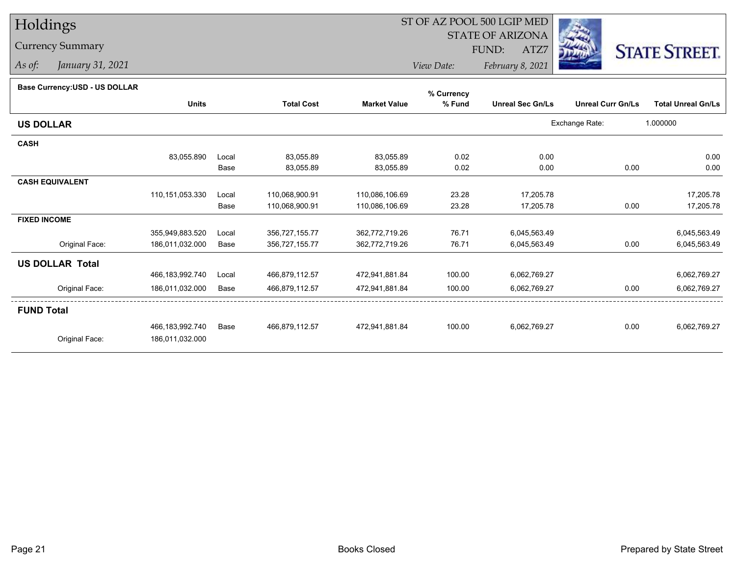# Holdings

### Currency Summary

*As of: January 31, 2021*

## ST OF AZ POOL 500 LGIP MED

 STATE OF ARIZONAFUND:

ATZ7



*View Date:February 8, 2021*

#### **Base Currency:USD - US DOLLAR**

|                        |                 |       |                   |                     | % Currency |                         |                          |                           |
|------------------------|-----------------|-------|-------------------|---------------------|------------|-------------------------|--------------------------|---------------------------|
|                        | <b>Units</b>    |       | <b>Total Cost</b> | <b>Market Value</b> | % Fund     | <b>Unreal Sec Gn/Ls</b> | <b>Unreal Curr Gn/Ls</b> | <b>Total Unreal Gn/Ls</b> |
| <b>US DOLLAR</b>       |                 |       |                   |                     |            |                         | Exchange Rate:           | 1.000000                  |
| <b>CASH</b>            |                 |       |                   |                     |            |                         |                          |                           |
|                        | 83,055.890      | Local | 83,055.89         | 83,055.89           | 0.02       | 0.00                    |                          | 0.00                      |
|                        |                 | Base  | 83,055.89         | 83,055.89           | 0.02       | 0.00                    | 0.00                     | 0.00                      |
| <b>CASH EQUIVALENT</b> |                 |       |                   |                     |            |                         |                          |                           |
|                        | 110,151,053.330 | Local | 110,068,900.91    | 110,086,106.69      | 23.28      | 17,205.78               |                          | 17,205.78                 |
|                        |                 | Base  | 110,068,900.91    | 110,086,106.69      | 23.28      | 17,205.78               | 0.00                     | 17,205.78                 |
| <b>FIXED INCOME</b>    |                 |       |                   |                     |            |                         |                          |                           |
|                        | 355,949,883.520 | Local | 356,727,155.77    | 362,772,719.26      | 76.71      | 6,045,563.49            |                          | 6,045,563.49              |
| Original Face:         | 186,011,032.000 | Base  | 356,727,155.77    | 362,772,719.26      | 76.71      | 6,045,563.49            | 0.00                     | 6,045,563.49              |
| <b>US DOLLAR Total</b> |                 |       |                   |                     |            |                         |                          |                           |
|                        | 466,183,992.740 | Local | 466,879,112.57    | 472,941,881.84      | 100.00     | 6,062,769.27            |                          | 6,062,769.27              |
| Original Face:         | 186,011,032.000 | Base  | 466,879,112.57    | 472,941,881.84      | 100.00     | 6,062,769.27            | 0.00                     | 6,062,769.27              |
| <b>FUND Total</b>      |                 |       |                   |                     |            |                         |                          |                           |
|                        | 466,183,992.740 | Base  | 466,879,112.57    | 472,941,881.84      | 100.00     | 6,062,769.27            | 0.00                     | 6,062,769.27              |
| Original Face:         | 186,011,032.000 |       |                   |                     |            |                         |                          |                           |
|                        |                 |       |                   |                     |            |                         |                          |                           |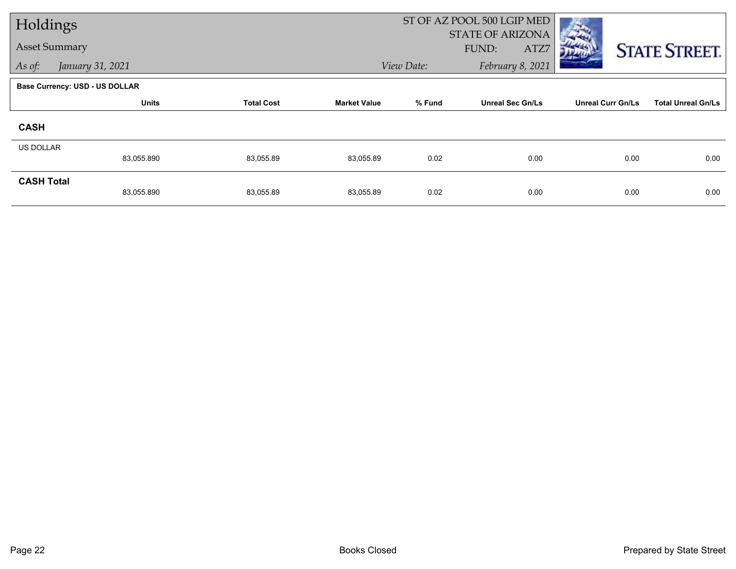| Holdings             |                                       |                   |                     |            | ST OF AZ POOL 500 LGIP MED               |                          |                           |  |
|----------------------|---------------------------------------|-------------------|---------------------|------------|------------------------------------------|--------------------------|---------------------------|--|
| <b>Asset Summary</b> |                                       |                   |                     |            | <b>STATE OF ARIZONA</b><br>FUND:<br>ATZ7 |                          | <b>STATE STREET.</b>      |  |
| As of:               | January 31, 2021                      |                   |                     | View Date: | February 8, 2021                         |                          |                           |  |
|                      | <b>Base Currency: USD - US DOLLAR</b> |                   |                     |            |                                          |                          |                           |  |
|                      | <b>Units</b>                          | <b>Total Cost</b> | <b>Market Value</b> | % Fund     | <b>Unreal Sec Gn/Ls</b>                  | <b>Unreal Curr Gn/Ls</b> | <b>Total Unreal Gn/Ls</b> |  |
| <b>CASH</b>          |                                       |                   |                     |            |                                          |                          |                           |  |
| <b>US DOLLAR</b>     |                                       |                   |                     |            |                                          |                          |                           |  |
|                      | 83,055.890                            | 83,055.89         | 83,055.89           | 0.02       | 0.00                                     | 0.00                     | 0.00                      |  |
| <b>CASH Total</b>    | 83,055.890                            | 83,055.89         | 83,055.89           | 0.02       | 0.00                                     | 0.00                     | 0.00                      |  |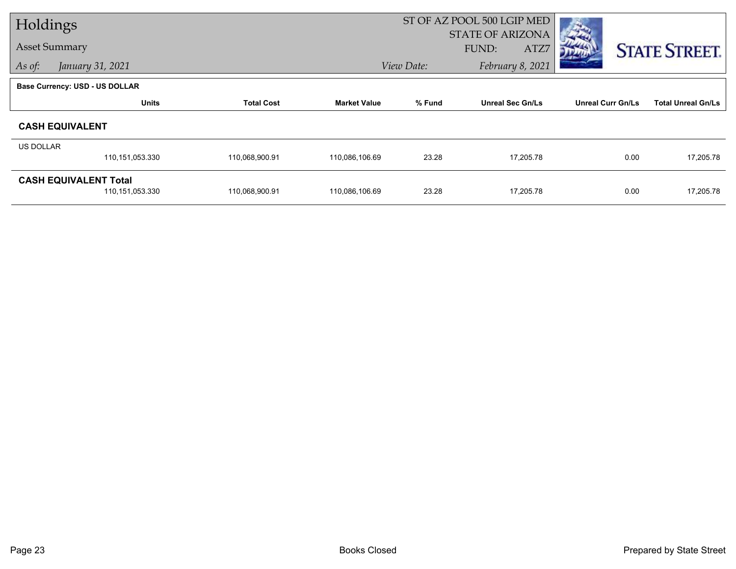| Holdings             |                                       |                   |                     |            | ST OF AZ POOL 500 LGIP MED |                          |                           |  |
|----------------------|---------------------------------------|-------------------|---------------------|------------|----------------------------|--------------------------|---------------------------|--|
|                      |                                       |                   |                     |            | <b>STATE OF ARIZONA</b>    |                          |                           |  |
| <b>Asset Summary</b> |                                       |                   |                     |            | ATZ7<br>FUND:              |                          | <b>STATE STREET.</b>      |  |
| As of:               | January 31, 2021                      |                   |                     | View Date: | February 8, 2021           |                          |                           |  |
|                      | <b>Base Currency: USD - US DOLLAR</b> |                   |                     |            |                            |                          |                           |  |
|                      | <b>Units</b>                          | <b>Total Cost</b> | <b>Market Value</b> | % Fund     | <b>Unreal Sec Gn/Ls</b>    | <b>Unreal Curr Gn/Ls</b> | <b>Total Unreal Gn/Ls</b> |  |
|                      | <b>CASH EQUIVALENT</b>                |                   |                     |            |                            |                          |                           |  |
| <b>US DOLLAR</b>     |                                       |                   |                     |            |                            |                          |                           |  |
|                      | 110,151,053.330                       | 110,068,900.91    | 110,086,106.69      | 23.28      | 17,205.78                  | 0.00                     | 17,205.78                 |  |
|                      | <b>CASH EQUIVALENT Total</b>          |                   |                     |            |                            |                          |                           |  |
|                      | 110,151,053.330                       | 110,068,900.91    | 110,086,106.69      | 23.28      | 17,205.78                  | 0.00                     | 17,205.78                 |  |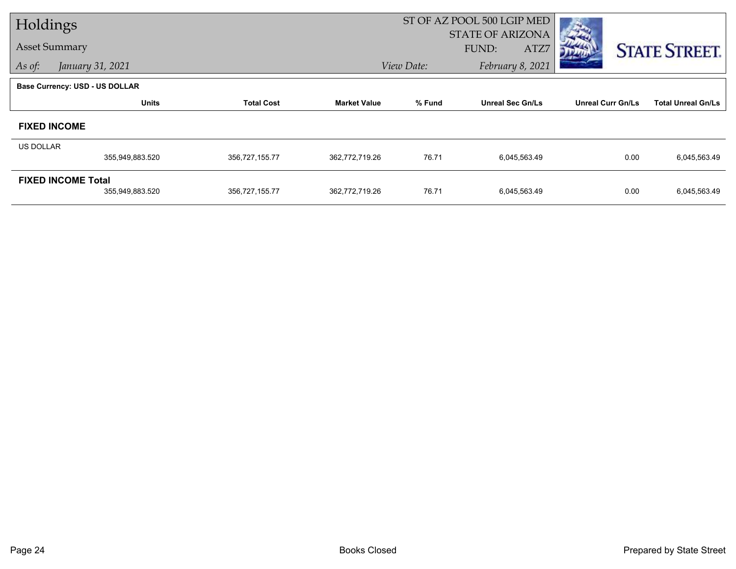| Holdings         |                                       |                   |                     | ST OF AZ POOL 500 LGIP MED |                         |                          |                           |
|------------------|---------------------------------------|-------------------|---------------------|----------------------------|-------------------------|--------------------------|---------------------------|
|                  | <b>Asset Summary</b>                  |                   |                     |                            | <b>STATE OF ARIZONA</b> |                          |                           |
|                  |                                       |                   |                     |                            | FUND:<br>ATZ7           |                          | <b>STATE STREET.</b>      |
| As of:           | January 31, 2021                      |                   |                     | View Date:                 | February 8, 2021        |                          |                           |
|                  | <b>Base Currency: USD - US DOLLAR</b> |                   |                     |                            |                         |                          |                           |
|                  | <b>Units</b>                          | <b>Total Cost</b> | <b>Market Value</b> | % Fund                     | <b>Unreal Sec Gn/Ls</b> | <b>Unreal Curr Gn/Ls</b> | <b>Total Unreal Gn/Ls</b> |
|                  | <b>FIXED INCOME</b>                   |                   |                     |                            |                         |                          |                           |
| <b>US DOLLAR</b> |                                       |                   |                     |                            |                         |                          |                           |
|                  | 355,949,883.520                       | 356,727,155.77    | 362,772,719.26      | 76.71                      | 6,045,563.49            | 0.00                     | 6,045,563.49              |
|                  | <b>FIXED INCOME Total</b>             |                   |                     |                            |                         |                          |                           |
|                  | 355,949,883.520                       | 356,727,155.77    | 362,772,719.26      | 76.71                      | 6,045,563.49            | 0.00                     | 6,045,563.49              |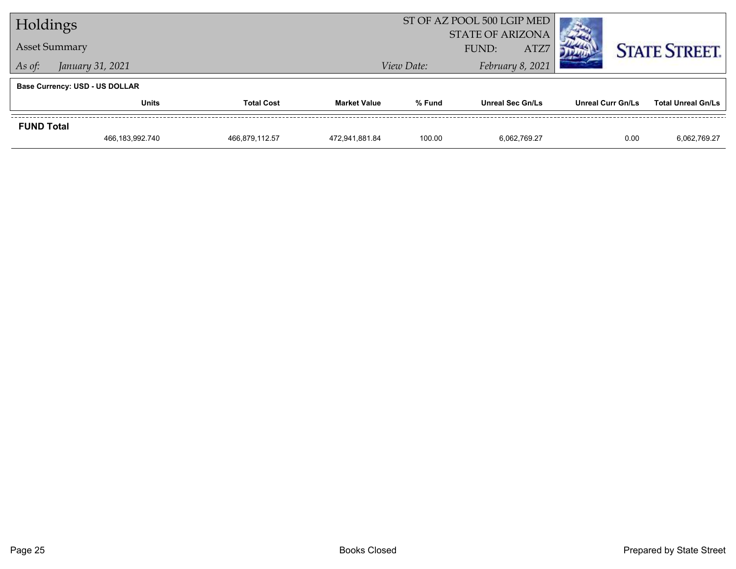| Holdings          |                                       |                   | ST OF AZ POOL 500 LGIP MED |                         |                         |                  |                          |      |                           |
|-------------------|---------------------------------------|-------------------|----------------------------|-------------------------|-------------------------|------------------|--------------------------|------|---------------------------|
|                   | <b>Asset Summary</b>                  |                   |                            | <b>STATE OF ARIZONA</b> |                         |                  |                          |      |                           |
|                   |                                       |                   |                            |                         | FUND:                   | ATZ7             |                          |      | <b>STATE STREET.</b>      |
| As of:            | January 31, 2021                      |                   |                            | View Date:              |                         | February 8, 2021 |                          |      |                           |
|                   | <b>Base Currency: USD - US DOLLAR</b> |                   |                            |                         |                         |                  |                          |      |                           |
|                   | <b>Units</b>                          | <b>Total Cost</b> | <b>Market Value</b>        | % Fund                  | <b>Unreal Sec Gn/Ls</b> |                  | <b>Unreal Curr Gn/Ls</b> |      | <b>Total Unreal Gn/Ls</b> |
| <b>FUND Total</b> |                                       |                   |                            |                         |                         |                  |                          |      |                           |
|                   | 466,183,992.740                       | 466.879.112.57    | 472.941.881.84             | 100.00                  | 6.062.769.27            |                  |                          | 0.00 | 6,062,769.27              |